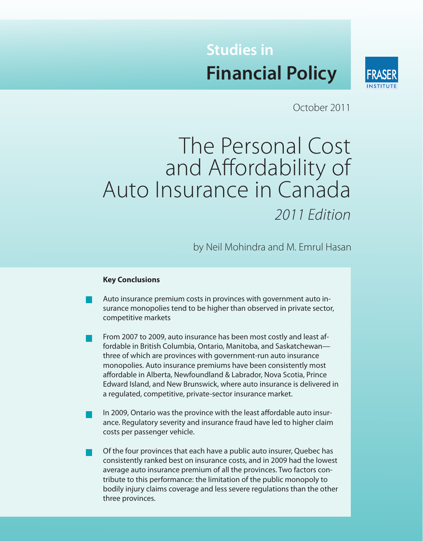# **Studies in Financial Policy**



October 2011

# The Personal Cost<br>and Affordability of Auto Insurance in Canada *2011 Edition*

by Neil Mohindra and M. Emrul Hasan

#### **Key Conclusions**

- Auto insurance premium costs in provinces with government auto insurance monopolies tend to be higher than observed in private sector, competitive markets
- From 2007 to 2009, auto insurance has been most costly and least affordable in British Columbia, Ontario, Manitoba, and Saskatchewan three of which are provinces with government-run auto insurance monopolies. Auto insurance premiums have been consistently most affordable in Alberta, Newfoundland & Labrador, Nova Scotia, Prince Edward Island, and New Brunswick, where auto insurance is delivered in a regulated, competitive, private-sector insurance market.
- In 2009, Ontario was the province with the least affordable auto insurance. Regulatory severity and insurance fraud have led to higher claim costs per passenger vehicle.
- Of the four provinces that each have a public auto insurer, Quebec has consistently ranked best on insurance costs, and in 2009 had the lowest average auto insurance premium of all the provinces. Two factors contribute to this performance: the limitation of the public monopoly to bodily injury claims coverage and less severe regulations than the other three provinces.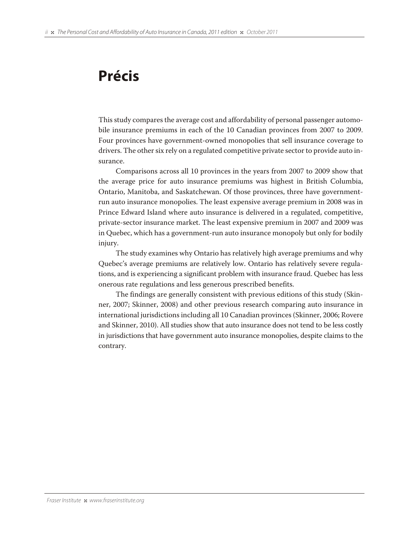## **Précis**

This study compares the average cost and affordability of personal passenger automobile insurance premiums in each of the 10 Canadian provinces from 2007 to 2009. Four provinces have government-owned monopolies that sell insurance coverage to drivers. The other six rely on a regulated competitive private sector to provide auto insurance.

Comparisons across all 10 provinces in the years from 2007 to 2009 show that the average price for auto insurance premiums was highest in British Columbia, Ontario, Manitoba, and Saskatchewan. Of those provinces, three have governmentrun auto insurance monopolies. The least expensive average premium in 2008 was in Prince Edward Island where auto insurance is delivered in a regulated, competitive, private-sector insurance market. The least expensive premium in 2007 and 2009 was in Quebec, which has a government-run auto insurance monopoly but only for bodily injury.

The study examines why Ontario has relatively high average premiums and why Quebec's average premiums are relatively low. Ontario has relatively severe regulations, and is experiencing a significant problem with insurance fraud. Quebec has less onerous rate regulations and less generous prescribed benefits.

The findings are generally consistent with previous editions of this study (Skinner, 2007; Skinner, 2008) and other previous research comparing auto insurance in international juris dictions including all 10 Canadian provinces (Skinner, 2006; Rovere and Skinner, 2010). All studies show that auto insurance does not tend to be less costly in juris dictions that have government auto insurance monopolies, despite claims to the contrary.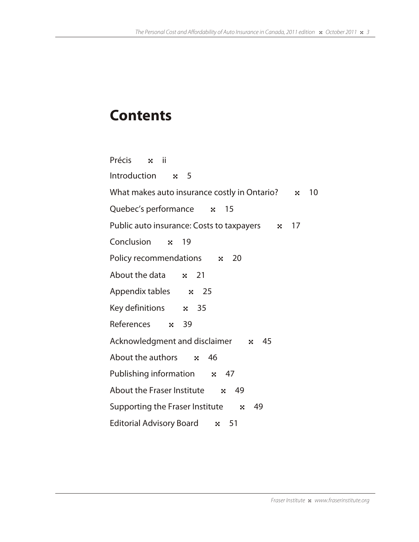# **Contents**

Précis x ii Introduction  $\infty$  5 What makes auto insurance costly in Ontario?  $\cdot$   $\cdot$  10 Quebec's performance x 15 Public auto insurance: Costs to tax payers  $\boldsymbol{\mathrm{x}}$  17 Conclusion  $\times$  19 Policy recommendations x 20 About the data  $\frac{1}{2}$  21 Appendix tables  $\boldsymbol{\cdot}$  25 Key definitions  $x = 35$ References x 39 Acknowledgment and disclaimer  $\boldsymbol{\cdot}$  45 About the authors  $\approx 46$ Publishing information  $\boldsymbol{\times}$  47 About the Fraser Institute  $\overline{\phantom{a}}$   $\overline{\phantom{a}}$  49 Supporting the Fraser Institute  $\boldsymbol{\cdot}$  49 Editorial Advisory Board x 51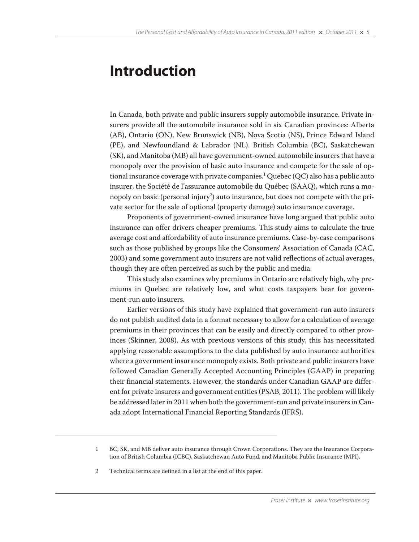### **Intro duc tion**

In Canada, both private and public insurers supply automobile insurance. Private insurers provide all the automobile insurance sold in six Canadian provinces: Alberta (AB), Ontario (ON), New Brunswick (NB), Nova Scotia (NS), Prince Edward Island (PE), and Newfoundland & Labrador (NL). British Columbia (BC), Saskatchewan (SK), and Manitoba (MB) all have government-owned automobile insurers that have a monopoly over the provision of basic auto insurance and compete for the sale of optional insurance coverage with private companies.<sup>1</sup> Quebec (QC) also has a public auto insurer, the Société de l'assurance automobile du Québec (SAAQ), which runs a monopoly on basic (personal injury $^2$ ) auto insurance, but does not compete with the private sector for the sale of optional (property damage) auto insurance coverage.

Proponents of government-owned insurance have long argued that public auto insurance can offer drivers cheaper premiums. This study aims to calculate the true average cost and affordability of auto insurance premiums. Case-by-case comparisons such as those published by groups like the Consumers' Association of Canada (CAC, 2003) and some government auto insurers are not valid reflections of actual averages, though they are often perceived as such by the public and media.

This study also examines why premiums in Ontario are relatively high, why premiums in Quebec are relatively low, and what costs taxpayers bear for government-run auto insurers.

Earlier versions of this study have explained that government-run auto insurers do not publish audited data in a format necessary to allow for a calculation of average premiums in their provinces that can be easily and directly compared to other provinces (Skinner, 2008). As with previous versions of this study, this has necessitated applying reasonable assumptions to the data published by auto insurance authorities where a government insurance monopoly exists. Both private and public insurers have followed Canadian Generally Accepted Accounting Principles (GAAP) in preparing their financial statements. However, the standards under Canadian GAAP are different for private insurers and government entities (PSAB, 2011). The problem will likely be addressed later in 2011 when both the government-run and private insurers in Canada adopt International Financial Reporting Standards (IFRS).

2 Technical terms are defined in a list at the end of this paper.

<sup>1</sup> BC, SK, and MB deliver auto insurance through Crown Corporations. They are the Insurance Corporation of British Columbia (ICBC), Saskatchewan Auto Fund, and Manitoba Public Insurance (MPI).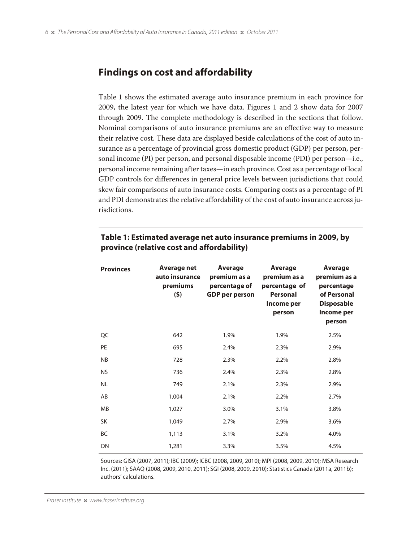#### **Find ings on cost and affordability**

Table 1 shows the estimated average auto insurance premium in each province for 2009, the latest year for which we have data. Figures 1 and 2 show data for  $2007$ through 2009. The complete methodology is described in the sections that follow. Nominal comparisons of auto insurance premiums are an effective way to measure their relative cost. These data are displayed beside calculations of the cost of auto insurance as a percentage of provincial gross domestic product (GDP) per person, personal income (PI) per person, and personal disposable income (PDI) per person—i.e., per sonal income remaining after taxes—in each province. Cost as a percentage of local GDP controls for differences in general price levels between jurisdictions that could skew fair comparisons of auto insurance costs. Comparing costs as a percentage of PI and PDI demonstrates the relative affordability of the cost of auto insurance across jurisdictions.

| <b>Provinces</b> | <b>Average net</b><br>auto insurance<br>premiums<br>(5) | Average<br>premium as a<br>percentage of<br><b>GDP</b> per person | Average<br>premium as a<br>percentage of<br><b>Personal</b><br>Income per<br>person | Average<br>premium as a<br>percentage<br>of Personal<br><b>Disposable</b><br>Income per<br>person |
|------------------|---------------------------------------------------------|-------------------------------------------------------------------|-------------------------------------------------------------------------------------|---------------------------------------------------------------------------------------------------|
| QC               | 642                                                     | 1.9%                                                              | 1.9%                                                                                | 2.5%                                                                                              |
| PE               | 695                                                     | 2.4%                                                              | 2.3%                                                                                | 2.9%                                                                                              |
| <b>NB</b>        | 728                                                     | 2.3%                                                              | 2.2%                                                                                | 2.8%                                                                                              |
| <b>NS</b>        | 736                                                     | 2.4%                                                              | 2.3%                                                                                | 2.8%                                                                                              |
| <b>NL</b>        | 749                                                     | 2.1%                                                              | 2.3%                                                                                | 2.9%                                                                                              |
| AB               | 1,004                                                   | 2.1%                                                              | 2.2%                                                                                | 2.7%                                                                                              |
| <b>MB</b>        | 1,027                                                   | 3.0%                                                              | 3.1%                                                                                | 3.8%                                                                                              |
| <b>SK</b>        | 1,049                                                   | 2.7%                                                              | 2.9%                                                                                | 3.6%                                                                                              |
| BC               | 1,113                                                   | 3.1%                                                              | 3.2%                                                                                | 4.0%                                                                                              |
| ON               | 1,281                                                   | 3.3%                                                              | 3.5%                                                                                | 4.5%                                                                                              |

#### **Table 1: Estimated average net auto insurance premiums in 2009, by province (relative cost and affordability)**

Sources: GISA (2007, 2011); IBC (2009); ICBC (2008, 2009, 2010); MPI (2008, 2009, 2010); MSA Research Inc. (2011); SAAQ (2008, 2009, 2010, 2011); SGI (2008, 2009, 2010); Statistics Canada (2011a, 2011b); authors' calculations.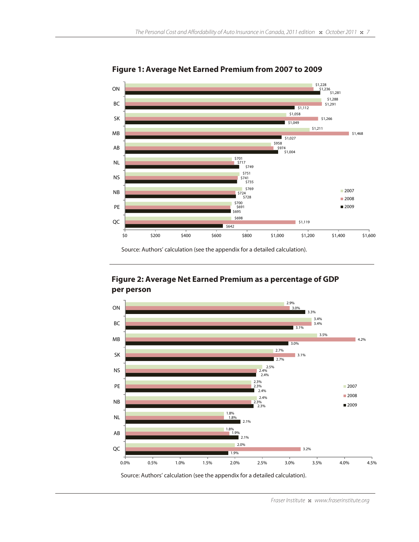

#### Figure 1: Average Net Earned Premium from 2007 to 2009

Source: Authors' calculation (see the appendix for a detailed calculation).

#### **Figure 2: Average Net Earned Premium as a percentage of GDP per person**



*Fra ser Insti tute* 4 *www.fraserinstitute.org*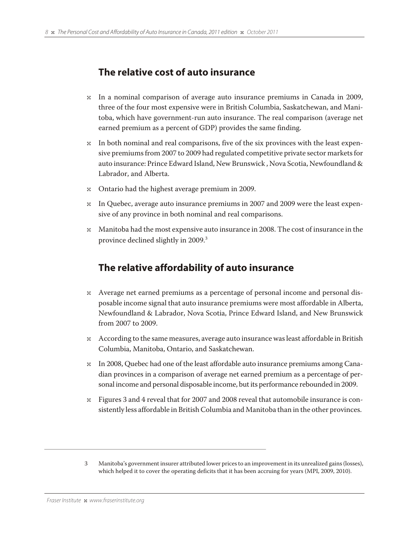#### **The relative cost of auto insurance**

- $\ast$  In a nominal comparison of average auto insurance premiums in Canada in 2009, three of the four most expensive were in British Columbia, Saskatchewan, and Manitoba, which have government-run auto insurance. The real comparison (average net earned premium as a percent of GDP) provides the same finding.
- $\ast$  In both nominal and real comparisons, five of the six provinces with the least expensive premiums from 2007 to 2009 had regulated competitive private sector markets for auto insurance: Prince Edward Island, New Brunswick, Nova Scotia, Newfoundland & Labrador, and Alberta.
- $\ast$  Ontario had the highest average premium in 2009.
- $\mu$  In Quebec, average auto insurance premiums in 2007 and 2009 were the least expensive of any province in both nominal and real comparisons.
- $\ast$  Manitoba had the most expensive auto insurance in 2008. The cost of insurance in the province declined slightly in 2009.<sup>3</sup>

#### **The relative affordability of auto insurance**

- \* Average net earned premiums as a percentage of personal income and personal disposable income signal that auto insurance premiums were most affordable in Alberta, Newfoundland & Labrador, Nova Scotia, Prince Edward Island, and New Brunswick from 2007 to 2009.
- $\star$  According to the same measures, average auto insurance was least affordable in British Columbia, Manitoba, Ontario, and Saskatchewan.
- $\ast$  In 2008, Quebec had one of the least affordable auto insurance premiums among Canadian provinces in a comparison of average net earned premium as a percentage of personal income and personal disposable income, but its performance rebounded in 2009.
- $\ast$  Figures 3 and 4 reveal that for 2007 and 2008 reveal that automobile insurance is consistently less affordable in British Columbia and Manitoba than in the other provinces.
- 3 Manitoba's government insurer attributed lower prices to an improvement in its unrealized gains (losses), which helped it to cover the operating deficits that it has been accruing for years (MPI, 2009, 2010).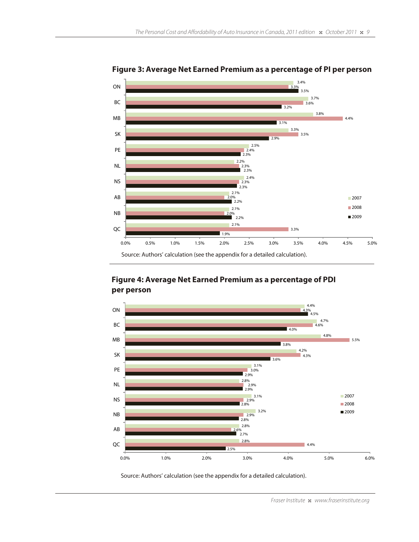

#### **Fig ure 3: Average Net Earned Premium as a percentage of PI per person**

#### **Figure 4: Average Net Earned Premium as a percentage of PDI per person**



Source: Authors' calculation (see the appendix for a detailed calculation).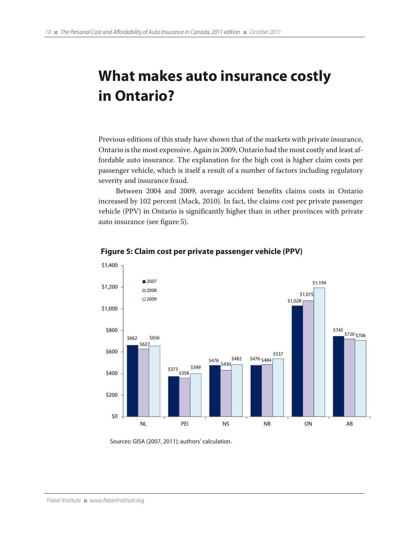# **What makes auto insurance costly in Ontario?**

Previous editions of this study have shown that of the markets with private insurance, Ontario is the most expensive. Again in 2009, Ontario had the most costly and least affordable auto insurance. The explanation for the high cost is higher claim costs per passenger vehicle, which is itself a result of a number of factors including regulatory severity and insurance fraud.

Between 2004 and 2009, average accident benefits claims costs in Ontario increased by 102 percent (Mack, 2010). In fact, the claims cost per private passenger vehicle (PPV) in Ontario is significantly higher than in other provinces with private auto insurance (see figure 5).



#### **Figure 5: Claim cost per private passenger vehicle (PPV)**

Sources: GISA (2007, 2011); authors' calculation.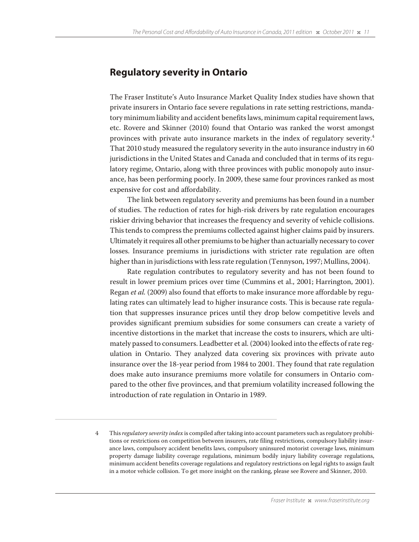#### **Regulatory severity in Ontario**

The Fraser Institute's Auto Insurance Market Quality Index studies have shown that private insurers in Ontario face severe regulations in rate setting restrictions, mandatory minimum liability and accident benefits laws, minimum capital requirement laws, etc. Rovere and Skinner (2010) found that Ontario was ranked the worst amongst provinces with private auto insurance markets in the index of regulatory severity.<sup>4</sup> That 2010 study measured the regulatory severity in the auto insurance industry in 60 jurisdictions in the United States and Canada and concluded that in terms of its regulatory regime, Ontario, along with three provinces with public monopoly auto insurance, has been performing poorly. In 2009, these same four provinces ranked as most expensive for cost and affordability.

The link between regulatory severity and premiums has been found in a number of studies. The reduction of rates for high-risk drivers by rate regulation encourages riskier driving behavior that increases the frequency and severity of vehicle collisions. This tends to compress the premiums collected against higher claims paid by insurers. Ultimately it requires all other premiums to be higher than actuarially necessary to cover losses. Insurance premiums in jurisdictions with stricter rate regulation are often higher than in jurisdictions with less rate regulation (Tennyson, 1997; Mullins, 2004).

Rate regulation contributes to regulatory severity and has not been found to result in lower premium prices over time (Cummins et al., 2001; Harrington, 2001). Regan *et al.* (2009) also found that efforts to make insurance more affordable by regulating rates can ultimately lead to higher insurance costs. This is because rate regulation that suppresses insurance prices until they drop below competitive levels and provides significant premium subsidies for some consumers can create a variety of incentive distortions in the market that increase the costs to insurers, which are ultimately passed to consumers. Leadbetter et al. (2004) looked into the effects of rate regulation in Ontario. They analyzed data covering six provinces with private auto insurance over the 18-year period from 1984 to 2001. They found that rate regulation does make auto insurance premiums more volatile for consumers in Ontario compared to the other five provinces, and that premium volatility increased following the introduction of rate regulation in Ontario in 1989.

<sup>4</sup> This *regulatory severity index* is compiled after taking into account parameters such as regulatory prohibitions or restrictions on competition between insurers, rate filing restrictions, compulsory liability insurance laws, compulsory accident benefits laws, compulsory uninsured motorist coverage laws, minimum property damage liability coverage regulations, minimum bodily injury liability coverage regulations, minimum accident benefits coverage regulations and regulatory restrictions on legal rights to assign fault in a motor vehicle collision. To get more insight on the ranking, please see Rovere and Skinner, 2010.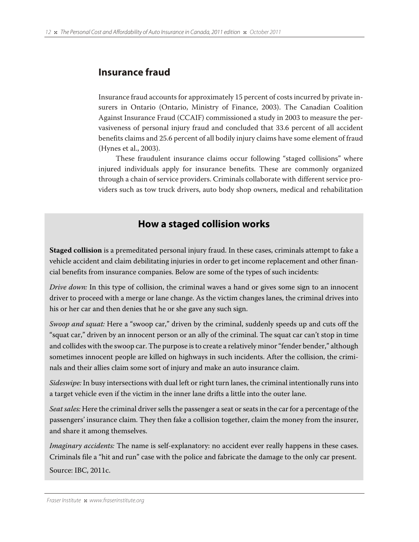#### **Insur ance fraud**

Insurance fraud accounts for approximately 15 percent of costs incurred by private insurers in Ontario (Ontario, Ministry of Finance, 2003). The Canadian Coalition Against Insurance Fraud (CCAIF) commissioned a study in 2003 to measure the perva siveness of personal injury fraud and concluded that 33.6 percent of all accident benefits claims and 25.6 percent of all bodily injury claims have some element of fraud (Hynes et al., 2003).

These fraudulent insurance claims occur following "staged collisions" where injured individuals apply for insurance benefits. These are commonly organized through a chain of service providers. Criminals collaborate with different service providers such as tow truck drivers, auto body shop owners, medical and rehabilitation

#### **How a staged collision works**

**Staged collision** is a premeditated personal injury fraud. In these cases, criminals attempt to fake a vehicle accident and claim debilitating injuries in order to get income replacement and other financial benefits from insurance companies. Below are some of the types of such incidents:

*Drive down:* In this type of collision, the criminal waves a hand or gives some sign to an innocent driver to proceed with a merge or lane change. As the victim changes lanes, the criminal drives into his or her car and then denies that he or she gave any such sign.

*Swoop and squat:* Here a "swoop car," driven by the criminal, suddenly speeds up and cuts off the "squat car," driven by an innocent person or an ally of the criminal. The squat car can't stop in time and collides with the swoop car. The purpose is to create a relatively minor "fender bender," although sometimes innocent people are killed on highways in such incidents. After the collision, the criminals and their allies claim some sort of injury and make an auto insurance claim.

*Sideswipe:* In busy intersections with dual left or right turn lanes, the criminal intentionally runs into a target vehicle even if the victim in the inner lane drifts a little into the outer lane.

*Seat sales:* Here the criminal driver sells the passenger a seat or seats in the car for a percentage of the passengers' insurance claim. They then fake a collision together, claim the money from the insurer, and share it among themselves.

*Imaginary accidents:* The name is self-explanatory: no accident ever really happens in these cases. Criminals file a "hit and run" case with the police and fabricate the damage to the only car present. Source: IBC, 2011c.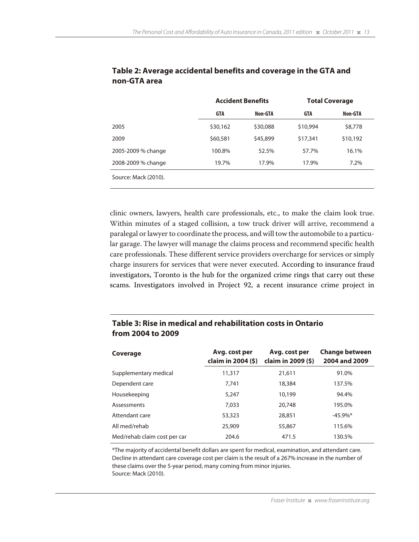|                      |            | <b>Accident Benefits</b> |            | <b>Total Coverage</b> |
|----------------------|------------|--------------------------|------------|-----------------------|
|                      | <b>GTA</b> | Non-GTA                  | <b>GTA</b> | Non-GTA               |
| 2005                 | \$30,162   | \$30,088                 | \$10,994   | \$8,778               |
| 2009                 | \$60,581   | \$45,899                 | \$17,341   | \$10,192              |
| 2005-2009 % change   | 100.8%     | 52.5%                    | 57.7%      | 16.1%                 |
| 2008-2009 % change   | 19.7%      | 17.9%                    | 17.9%      | 7.2%                  |
| Source: Mack (2010). |            |                          |            |                       |

#### **Table 2: Average accidental benefits and coverage in the GTA and non-GTA area**

clinic owners, lawyers, health care professionals, etc., to make the claim look true. Within minutes of a staged collision, a tow truck driver will arrive, recommend a paralegal or lawyer to coordinate the process, and will tow the automobile to a particular garage. The lawyer will manage the claims process and recommend specific health care professionals. These different service providers overcharge for services or simply charge insurers for services that were never executed. According to insurance fraud investigators, Toronto is the hub for the organized crime rings that carry out these scams. Investigators involved in Project 92, a recent insurance crime project in

#### **Table 3: Rise in medical and rehabilitation costs in Ontario from 2004 to 2009**

| Coverage                     | Avg. cost per<br>claim in 2004 (\$) | Avg. cost per<br>claim in 2009 (\$) | <b>Change between</b><br>2004 and 2009 |  |
|------------------------------|-------------------------------------|-------------------------------------|----------------------------------------|--|
| Supplementary medical        | 11,317                              | 21,611                              | 91.0%                                  |  |
| Dependent care               | 7.741                               | 18,384                              | 137.5%                                 |  |
| Housekeeping                 | 5,247                               | 10,199                              | 94.4%                                  |  |
| Assessments                  | 7,033                               | 20,748                              | 195.0%                                 |  |
| Attendant care               | 53,323                              | 28,851                              | $-45.9\%$ *                            |  |
| All med/rehab                | 25,909                              | 55,867                              | 115.6%                                 |  |
| Med/rehab claim cost per car | 204.6                               | 471.5                               | 130.5%                                 |  |

\*The majority of accidental benefit dollars are spent for medical, examination, and attendant care. Decline in attendant care coverage cost per claim is the result of a 267% increase in the number of these claims over the 5-year period, many coming from minor injuries. Source: Mack (2010).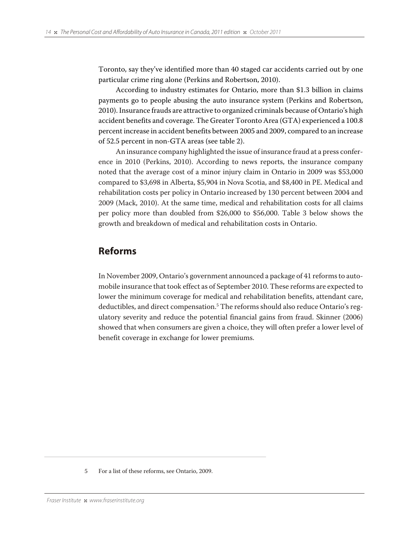Toronto, say they've identified more than 40 staged car accidents carried out by one particular crime ring alone (Perkins and Robertson, 2010).

According to industry estimates for Ontario, more than \$1.3 billion in claims payments go to people abusing the auto insurance system (Perkins and Robertson, 2010). Insurance frauds are attractive to organized criminals because of Ontario's high accident benefits and coverage. The Greater Toronto Area (GTA) experienced a 100.8 percent increase in accident benefits between 2005 and 2009, compared to an increase of 52.5 percent in non-GTA areas (see table 2).

An insurance company highlighted the issue of insurance fraud at a press conference in 2010 (Perkins, 2010). According to news reports, the insurance company noted that the average cost of a minor injury claim in Ontario in 2009 was \$53,000 compared to \$3,698 in Alberta, \$5,904 in Nova Scotia, and \$8,400 in PE. Medical and rehabilitation costs per policy in Ontario increased by 130 percent between 2004 and 2009 (Mack, 2010). At the same time, medical and rehabilitation costs for all claims per policy more than doubled from \$26,000 to \$56,000. Table 3 below shows the growth and breakdown of medical and rehabilitation costs in Ontario.

#### **Reforms**

In November 2009, Ontario's government announced a package of 41 reforms to automobile insurance that took effect as of September 2010. These reforms are expected to lower the minimum coverage for medical and rehabilitation benefits, attendant care, deductibles, and direct compensation.<sup>5</sup> The reforms should also reduce Ontario's regulatory severity and reduce the potential financial gains from fraud. Skinner (2006) showed that when consumers are given a choice, they will often prefer a lower level of benefit coverage in exchange for lower premiums.

5 For a list of these reforms, see Ontario, 2009.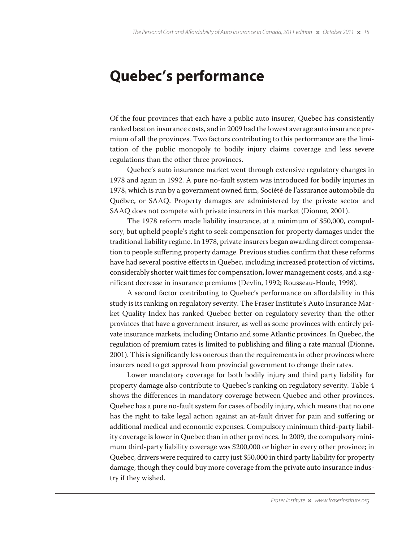### **Que bec's per for mance**

Of the four provinces that each have a public auto insurer, Quebec has consistently ranked best on insurance costs, and in 2009 had the lowest average auto insurance premium of all the provinces. Two factors contributing to this performance are the limitation of the public monopoly to bodily injury claims coverage and less severe regulations than the other three provinces.

Quebec's auto insurance market went through extensive regulatory changes in 1978 and again in 1992. A pure no-fault system was introduced for bodily injuries in 1978, which is run by a government owned firm, Société de l'assurance automobile du Québec, or SAAQ. Property damages are administered by the private sector and SAAQ does not compete with private insurers in this market (Dionne, 2001).

The 1978 reform made liability insurance, at a minimum of \$50,000, compulsory, but upheld people's right to seek compensation for property damages under the traditional liability regime. In 1978, private insurers began awarding direct compensation to people suffering property damage. Previous studies confirm that these reforms have had several positive effects in Quebec, including increased protection of victims, considerably shorter wait times for compensation, lower management costs, and a significant decrease in insurance premiums (Devlin, 1992; Rousseau-Houle, 1998).

A second factor contributing to Quebec's performance on affordability in this study is its ranking on regulatory severity. The Fraser Institute's Auto Insurance Market Quality Index has ranked Quebec better on regulatory severity than the other provinces that have a government insurer, as well as some provinces with entirely private insurance markets, including Ontario and some Atlantic provinces. In Quebec, the regulation of premium rates is limited to publishing and filing a rate manual (Dionne, 2001). This is significantly less onerous than the requirements in other provinces where insurers need to get approval from provincial government to change their rates.

Lower mandatory coverage for both bodily injury and third party liability for property damage also contribute to Quebec's ranking on regulatory severity. Table 4 shows the differences in mandatory coverage between Quebec and other provinces. Quebec has a pure no-fault system for cases of bodily injury, which means that no one has the right to take legal action against an at-fault driver for pain and suffering or additional medical and economic expenses. Compulsory minimum third-party liability coverage is lower in Quebec than in other provinces. In 2009, the compulsory minimum third-party liability coverage was \$200,000 or higher in every other province; in Quebec, drivers were required to carry just \$50,000 in third party liability for property damage, though they could buy more coverage from the private auto insurance industry if they wished.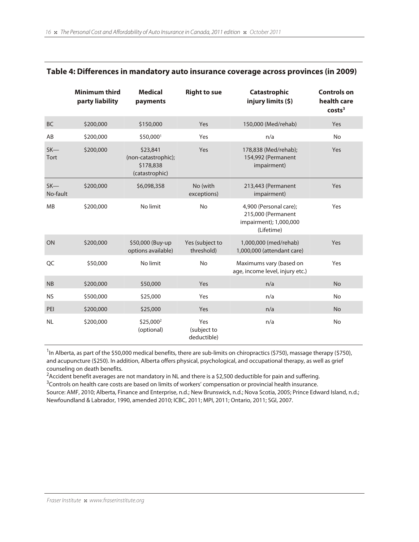|                    | Minimum third<br>party liability | <b>Medical</b><br>payments                                     | <b>Right to sue</b>               | <b>Catastrophic</b><br>injury limits (\$)                                            | <b>Controls on</b><br>health care<br>costs <sup>3</sup> |
|--------------------|----------------------------------|----------------------------------------------------------------|-----------------------------------|--------------------------------------------------------------------------------------|---------------------------------------------------------|
| <b>BC</b>          | \$200,000                        | \$150,000                                                      | Yes                               | 150,000 (Med/rehab)                                                                  | Yes                                                     |
| AB                 | \$200,000                        | \$50,000                                                       | Yes                               | n/a                                                                                  | <b>No</b>                                               |
| $SK -$<br>Tort     | \$200,000                        | \$23,841<br>(non-catastrophic);<br>\$178,838<br>(catastrophic) | Yes                               | 178,838 (Med/rehab);<br>154,992 (Permanent<br>impairment)                            | Yes                                                     |
| $SK -$<br>No-fault | \$200,000                        | \$6,098,358                                                    | No (with<br>exceptions)           | 213,443 (Permanent<br>impairment)                                                    | Yes                                                     |
| <b>MB</b>          | \$200,000                        | No limit                                                       | <b>No</b>                         | 4,900 (Personal care);<br>215,000 (Permanent<br>impairment); 1,000,000<br>(Lifetime) | Yes                                                     |
| ON                 | \$200,000                        | \$50,000 (Buy-up<br>options available)                         | Yes (subject to<br>threshold)     | 1,000,000 (med/rehab)<br>1,000,000 (attendant care)                                  | Yes                                                     |
| QC                 | \$50,000                         | No limit                                                       | <b>No</b>                         | Maximums vary (based on<br>age, income level, injury etc.)                           | Yes                                                     |
| NB                 | \$200,000                        | \$50,000                                                       | Yes                               | n/a                                                                                  | <b>No</b>                                               |
| <b>NS</b>          | \$500,000                        | \$25,000                                                       | Yes                               | n/a                                                                                  | <b>No</b>                                               |
| PEI                | \$200,000                        | \$25,000                                                       | Yes                               | n/a                                                                                  | <b>No</b>                                               |
| <b>NL</b>          | \$200,000                        | \$25,000 <sup>2</sup><br>(optional)                            | Yes<br>(subject to<br>deductible) | n/a                                                                                  | <b>No</b>                                               |

#### **Table 4: Differences in mandatory auto insurance coverage across provinces (in 2009)**

<sup>1</sup>In Alberta, as part of the \$50,000 medical benefits, there are sub-limits on chiropractics (\$750), massage therapy (\$750), and acupuncture (\$250). In addition, Alberta offers physical, psychological, and occupational therapy, as well as grief counseling on death benefits.

<sup>2</sup> Accident benefit averages are not mandatory in NL and there is a \$2,500 deductible for pain and suffering.

 $3$ Controls on health care costs are based on limits of workers' compensation or provincial health insurance.

Source: AMF, 2010; Alberta, Finance and Enterprise, n.d.; New Brunswick, n.d.; Nova Scotia, 2005; Prince Edward Island, n.d.; Newfoundland & Labrador, 1990, amended 2010; ICBC, 2011; MPI, 2011; Ontario, 2011; SGI, 2007.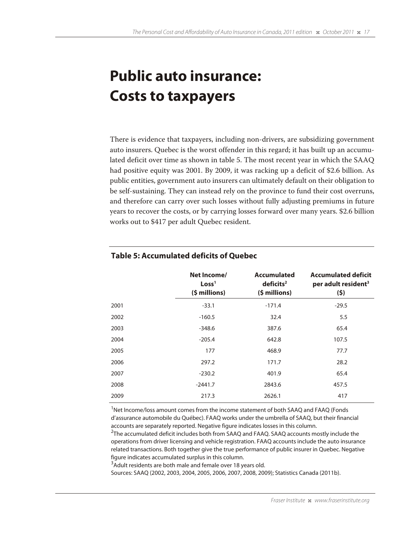# **Public auto insurance: Costs to taxpayers**

There is evidence that taxpayers, including non-drivers, are subsidizing government auto insurers. Quebec is the worst offender in this regard; it has built up an accumulated deficit over time as shown in table 5. The most recent year in which the SAAQ had positive equity was 2001. By 2009, it was racking up a deficit of \$2.6 billion. As public entities, government auto insurers can ultimately default on their obligation to be self-sustaining. They can instead rely on the province to fund their cost overruns, and therefore can carry over such losses without fully adjusting premiums in future years to recover the costs, or by carrying losses forward over many years. \$2.6 billion works out to \$417 per adult Quebec resident.

|      | Net Income/<br>Loss <sup>1</sup><br>$(5$ millions) | <b>Accumulated</b><br>deficits <sup>2</sup><br>$(5 millions)$ | <b>Accumulated deficit</b><br>per adult resident <sup>3</sup><br>(5) |
|------|----------------------------------------------------|---------------------------------------------------------------|----------------------------------------------------------------------|
| 2001 | $-33.1$                                            | $-171.4$                                                      | $-29.5$                                                              |
| 2002 | $-160.5$                                           | 32.4                                                          | 5.5                                                                  |
| 2003 | $-348.6$                                           | 387.6                                                         | 65.4                                                                 |
| 2004 | $-205.4$                                           | 642.8                                                         | 107.5                                                                |
| 2005 | 177                                                | 468.9                                                         | 77.7                                                                 |
| 2006 | 297.2                                              | 171.7                                                         | 28.2                                                                 |
| 2007 | $-230.2$                                           | 401.9                                                         | 65.4                                                                 |
| 2008 | $-2441.7$                                          | 2843.6                                                        | 457.5                                                                |
| 2009 | 217.3                                              | 2626.1                                                        | 417                                                                  |

#### **Table 5: Accumulated deficits of Quebec**

<sup>1</sup>Net Income/loss amount comes from the income statement of both SAAQ and FAAQ (Fonds d'assurance automobile du Québec). FAAQ works under the umbrella of SAAQ, but their financial accounts are separately reported. Negative figure indicates losses in this column.

 $^{2}$ The accumulated deficit includes both from SAAQ and FAAQ. SAAQ accounts mostly include the operations from driver licensing and vehicle registration. FAAQ accounts include the auto insurance related transactions. Both together give the true performance of public insurer in Quebec. Negative figure indicates accumulated surplus in this column.

<sup>3</sup>Adult residents are both male and female over 18 years old.

Sources: SAAQ (2002, 2003, 2004, 2005, 2006, 2007, 2008, 2009); Statistics Canada (2011b).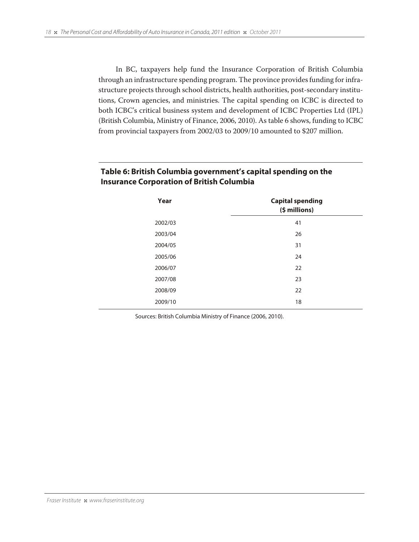In BC, taxpayers help fund the Insurance Corporation of British Columbia through an infrastructure spending program. The province provides funding for infrastructure projects through school districts, health authorities, post-secondary institutions, Crown agencies, and ministries. The capital spending on ICBC is directed to both ICBC's critical business system and development of ICBC Properties Ltd (IPL) (British Columbia, Ministry of Finance, 2006, 2010). As table 6 shows, funding to ICBC from provincial taxpayers from 2002/03 to 2009/10 amounted to \$207 million.

#### **Year Capital spending (\$ millions)** 2002/03 41 2003/04 26 2004/05 31 2005/06 24 2006/07 22 2007/08 23 2008/09 22 2009/10 18

#### **Table 6: British Columbia government's capital spending on the Insurance Corporation of British Columbia**

Sources: British Columbia Ministry of Finance (2006, 2010).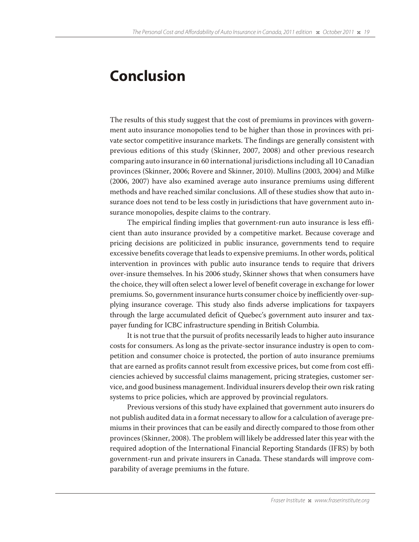### **Con clu sion**

The results of this study suggest that the cost of premiums in provinces with government auto insurance monopolies tend to be higher than those in provinces with private sector competitive insurance markets. The findings are generally consistent with previous editions of this study (Skinner, 2007, 2008) and other previous research comparing auto insurance in 60 international jurisdictions including all 10 Canadian provinces (Skinner, 2006; Rovere and Skinner, 2010). Mullins (2003, 2004) and Milke  $(2006, 2007)$  have also examined average auto insurance premiums using different methods and have reached similar conclusions. All of these studies show that auto insurance does not tend to be less costly in jurisdictions that have government auto insurance monopolies, despite claims to the contrary.

The empirical finding implies that government-run auto insurance is less efficient than auto insurance provided by a competitive market. Because coverage and pricing decisions are politicized in public insurance, governments tend to require excessive benefits coverage that leads to expensive premiums. In other words, political intervention in provinces with public auto insurance tends to require that drivers over-insure themselves. In his 2006 study, Skinner shows that when consumers have the choice, they will often select a lower level of benefit coverage in exchange for lower premiums. So, government insurance hurts consumer choice by inefficiently over-supplying insurance coverage. This study also finds adverse implications for taxpayers through the large accumulated deficit of Quebec's government auto insurer and taxpayer funding for ICBC infrastructure spending in British Columbia.

It is not true that the pursuit of profits necessarily leads to higher auto insurance costs for consumers. As long as the private-sector insurance industry is open to competition and consumer choice is protected, the portion of auto insurance premiums that are earned as profits cannot result from excessive prices, but come from cost efficiencies achieved by successful claims management, pricing strategies, customer service, and good business management. Individual insurers develop their own risk rating systems to price policies, which are approved by provincial regulators.

Previous versions of this study have explained that government auto insurers do not publish audited data in a format necessary to allow for a calculation of average premiums in their provinces that can be easily and directly compared to those from other provinces (Skinner, 2008). The problem will likely be addressed later this year with the required adoption of the International Financial Reporting Standards (IFRS) by both government-run and private insurers in Canada. These standards will improve comparability of average premiums in the future.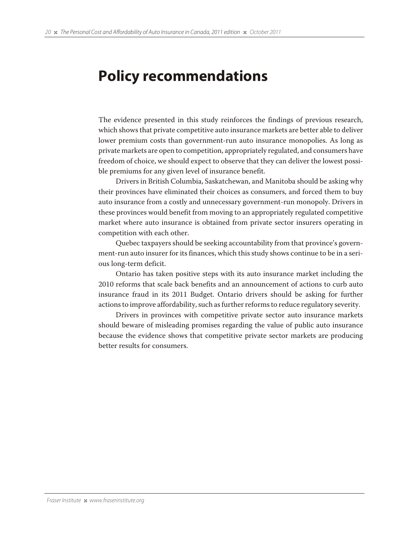### **Policy recommendations**

The evidence presented in this study reinforces the findings of previous research, which shows that private competitive auto insurance markets are better able to deliver lower premium costs than government-run auto insurance monopolies. As long as private markets are open to competition, appropriately regulated, and consumers have freedom of choice, we should expect to observe that they can deliver the lowest possible premiums for any given level of insurance benefit.

Drivers in British Columbia, Saskatchewan, and Manitoba should be asking why their provinces have eliminated their choices as consumers, and forced them to buy auto insurance from a costly and unnecessary government-run monopoly. Drivers in these provinces would benefit from moving to an appropriately regulated competitive market where auto insurance is obtained from private sector insurers operating in competition with each other.

Quebec tax payers should be seeking accountability from that province's government-run auto insurer for its finances, which this study shows continue to be in a serious long-term deficit.

Ontario has taken positive steps with its auto insurance market including the 2010 reforms that scale back benefits and an announcement of actions to curb auto insurance fraud in its 2011 Budget. Ontario drivers should be asking for further actions to improve affordability, such as further reforms to reduce regulatory severity.

Drivers in provinces with competitive private sector auto insurance markets should beware of misleading promises regarding the value of public auto insurance because the evidence shows that competitive private sector markets are producing better results for consumers.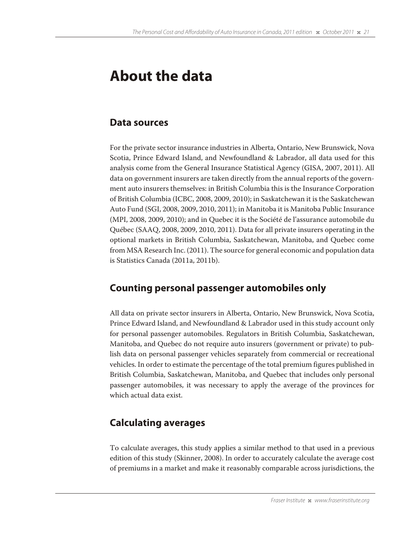# **About the data**

#### **Data sources**

For the private sector in surance industries in Alberta, Ontario, New Brunswick, Nova Scotia, Prince Edward Island, and Newfoundland & Labrador, all data used for this analysis come from the General Insurance Statistical Agency (GISA, 2007, 2011). All data on government insurers are taken directly from the annual reports of the government auto insurers themselves: in British Columbia this is the Insurance Corporation of British Columbia (ICBC, 2008, 2009, 2010); in Saskatchewan it is the Saskatchewan Auto Fund (SGI, 2008, 2009, 2010, 2011); in Manitoba it is Manitoba Public Insurance (MPI, 2008, 2009, 2010); and in Quebec it is the Société de l'assurance automobile du Québec (SAAQ, 2008, 2009, 2010, 2011). Data for all private insurers operating in the optional markets in British Columbia, Saskatchewan, Manitoba, and Quebec come from MSA Research Inc. (2011). The source for general economic and population data is Statistics Canada (2011a, 2011b).

#### **Count ing per sonal pas sen ger auto mo biles only**

All data on private sector insurers in Alberta, Ontario, New Brunswick, Nova Scotia, Prince Edward Island, and Newfoundland & Labrador used in this study account only for personal passenger automobiles. Regulators in British Columbia, Saskatchewan, Manitoba, and Quebec do not require auto insurers (government or private) to publish data on personal passenger vehicles separately from commercial or recreational vehicles. In order to estimate the percentage of the total premium figures published in British Columbia, Saskatchewan, Manitoba, and Quebec that includes only personal passenger automobiles, it was necessary to apply the average of the provinces for which actual data exist.

#### **Calculating averages**

To calculate averages, this study applies a similar method to that used in a previous edition of this study (Skinner, 2008). In order to accurately calculate the average cost of premiums in a market and make it reasonably comparable across jurisdictions, the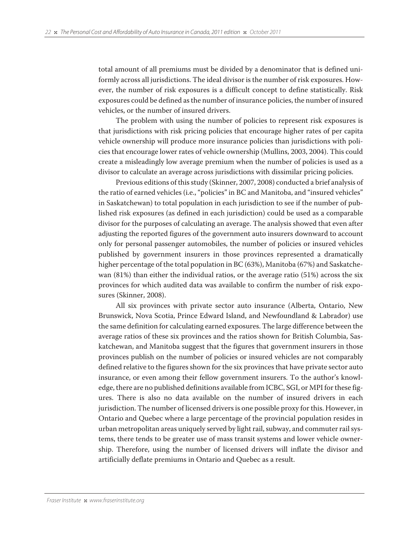total amount of all premiums must be divided by a denominator that is defined uniformly across all jurisdictions. The ideal divisor is the number of risk exposures. However, the number of risk exposures is a difficult concept to define statistically. Risk exposures could be defined as the number of insurance policies, the number of insured vehicles, or the number of insured drivers.

The problem with using the number of policies to represent risk exposures is that jurisdictions with risk pricing policies that encourage higher rates of per capita vehicle ownership will produce more insurance policies than juris dictions with policies that encourage lower rates of vehicle ownership (Mullins, 2003, 2004). This could create a misleadingly low average premium when the number of policies is used as a divisor to calculate an average across jurisdictions with dissimilar pricing policies.

Previous editions of this study (Skinner, 2007, 2008) conducted a brief analysis of the ratio of earned vehicles (i.e., "policies" in BC and Manitoba, and "insured vehicles" in Saskatchewan) to total population in each jurisdiction to see if the number of published risk exposures (as defined in each jurisdiction) could be used as a comparable divisor for the purposes of calculating an average. The analysis showed that even after adjusting the reported figures of the government auto insurers downward to account only for personal passenger automobiles, the number of policies or insured vehicles published by government insurers in those provinces represented a dramatically higher percentage of the total population in BC (63%), Manitoba (67%) and Saskatchewan  $(81%)$  than either the individual ratios, or the average ratio  $(51%)$  across the six provinces for which audited data was available to confirm the number of risk exposures (Skinner, 2008).

All six provinces with private sector auto insurance (Alberta, Ontario, New Brunswick, Nova Scotia, Prince Edward Island, and Newfoundland & Labrador) use the same definition for calculating earned exposures. The large difference between the average ratios of these six provinces and the ratios shown for British Columbia, Saskatchewan, and Manitoba suggest that the figures that government insurers in those provinces publish on the number of policies or insured vehicles are not comparably defined relative to the figures shown for the six provinces that have private sector auto insurance, or even among their fellow government insurers. To the author's knowledge, there are no published definitions available from ICBC, SGI, or MPI for these figures. There is also no data available on the number of insured drivers in each juris diction. The number of licensed drivers is one possible proxy for this. However, in Ontario and Quebec where a large percentage of the provincial population resides in urban metropolitan areas uniquely served by light rail, subway, and commuter rail systems, there tends to be greater use of mass transit systems and lower vehicle ownership. Therefore, using the number of licensed drivers will inflate the divisor and artificially deflate premiums in Ontario and Quebec as a result.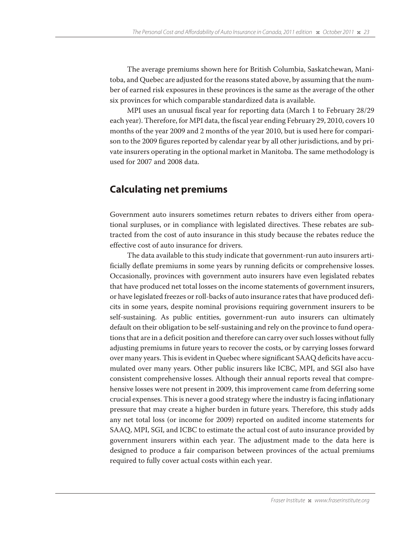The average premiums shown here for British Columbia, Saskatchewan, Manitoba, and Quebec are adjusted for the reasons stated above, by assuming that the number of earned risk exposures in these provinces is the same as the average of the other six provinces for which comparable standardized data is available.

MPI uses an unusual fiscal year for reporting data (March 1 to February 28/29 each year). Therefore, for MPI data, the fiscal year ending February 29, 2010, covers 10 months of the year 2009 and 2 months of the year 2010, but is used here for comparison to the 2009 figures reported by calendar year by all other juris dictions, and by private insurers operating in the optional market in Manitoba. The same methodology is used for 2007 and 2008 data.

#### **Calculating net premiums**

Government auto insurers sometimes return rebates to drivers either from operational surpluses, or in compliance with legislated directives. These rebates are subtracted from the cost of auto insurance in this study because the rebates reduce the effective cost of auto insurance for drivers.

The data available to this study indicate that government-run auto insurers artificially deflate premiums in some years by running deficits or comprehensive losses. Occasionally, provinces with government auto insurers have even legislated rebates that have produced net total losses on the income statements of government insurers, or have legislated freezes or roll-backs of auto insurance rates that have produced deficits in some years, despite nominal provisions requiring government insurers to be self-sustaining. As public entities, government-run auto insurers can ultimately default on their obligation to be self-sustaining and rely on the province to fund operations that are in a deficit position and therefore can carry over such losses without fully adjusting premiums in future years to recover the costs, or by carrying losses forward over many years. This is evident in Quebec where significant SAAQ deficits have accumulated over many years. Other public insurers like ICBC, MPI, and SGI also have consistent comprehensive losses. Although their annual reports reveal that comprehensive losses were not present in 2009, this improvement came from deferring some crucial expenses. This is never a good strategy where the industry is facing inflationary pressure that may create a higher burden in future years. Therefore, this study adds any net total loss (or income for 2009) reported on audited income statements for SAAQ, MPI, SGI, and ICBC to estimate the actual cost of auto insurance provided by government insurers within each year. The adjustment made to the data here is designed to produce a fair comparison between provinces of the actual premiums required to fully cover actual costs within each year.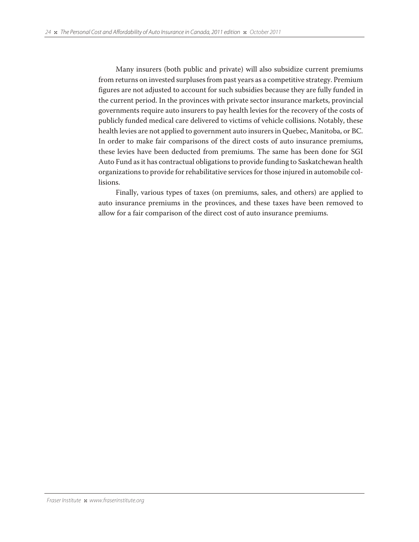Many insurers (both public and private) will also subsidize current premiums from returns on invested surpluses from past years as a competitive strategy. Premium figures are not adjusted to account for such subsidies because they are fully funded in the current period. In the provinces with private sector insurance markets, provincial governments require auto insurers to pay health levies for the recovery of the costs of publicly funded medical care delivered to victims of vehicle collisions. Notably, these health levies are not applied to government auto insurers in Quebec, Manitoba, or BC. In order to make fair comparisons of the direct costs of auto insurance premiums, these levies have been deducted from premiums. The same has been done for SGI Auto Fund as it has contractual obligations to provide funding to Saskatchewan health organizations to provide for rehabilitative services for those injured in automobile collisions.

Finally, various types of taxes (on premiums, sales, and others) are applied to auto insurance premiums in the provinces, and these taxes have been removed to allow for a fair comparison of the direct cost of auto insurance premiums.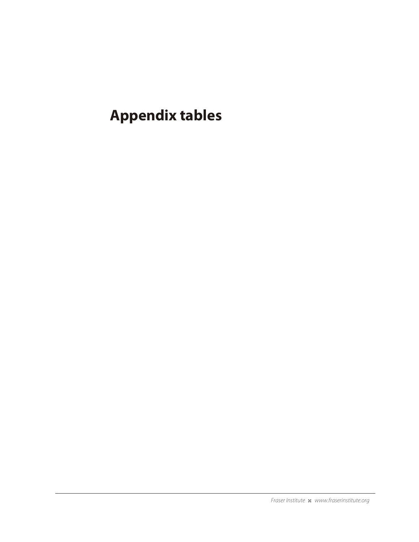# **Appendix tables**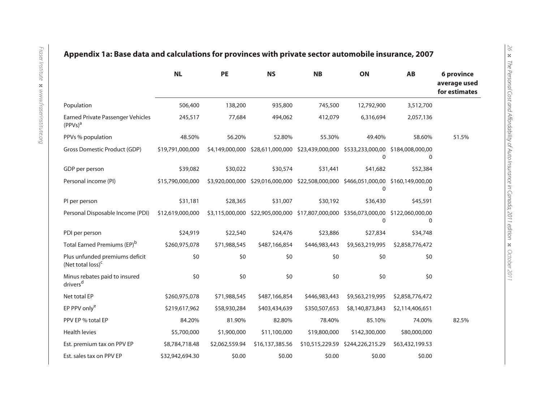| Appendix 1a: Base data and calculations for provinces with private sector automobile insurance, 2007 |
|------------------------------------------------------------------------------------------------------|
|                                                                                                      |

|                                                                 | <b>NL</b>        | PE             | <b>NS</b>                                                                           | <b>NB</b>       | ON                              | AB                    | 6 province<br>average used<br>for estimates |
|-----------------------------------------------------------------|------------------|----------------|-------------------------------------------------------------------------------------|-----------------|---------------------------------|-----------------------|---------------------------------------------|
| Population                                                      | 506,400          | 138,200        | 935,800                                                                             | 745,500         | 12,792,900                      | 3,512,700             |                                             |
| Earned Private Passenger Vehicles<br>$(PPVs)^a$                 | 245,517          | 77,684         | 494,062                                                                             | 412,079         | 6,316,694                       | 2,057,136             |                                             |
| PPVs % population                                               | 48.50%           | 56.20%         | 52.80%                                                                              | 55.30%          | 49.40%                          | 58.60%                | 51.5%                                       |
| Gross Domestic Product (GDP)                                    | \$19,791,000,000 |                | \$4,149,000,000 \$28,611,000,000 \$23,439,000,000                                   |                 | \$533,233,000,00<br>$\mathbf 0$ | \$184,008,000,00<br>0 |                                             |
| GDP per person                                                  | \$39,082         | \$30,022       | \$30,574                                                                            | \$31,441        | \$41,682                        | \$52,384              |                                             |
| Personal income (PI)                                            | \$15,790,000,000 |                | \$3,920,000,000 \$29,016,000,000 \$22,508,000,000 \$466,051,000,00 \$160,149,000,00 |                 | $\Omega$                        | 0                     |                                             |
| PI per person                                                   | \$31,181         | \$28,365       | \$31,007                                                                            | \$30,192        | \$36,430                        | \$45,591              |                                             |
| Personal Disposable Income (PDI)                                | \$12,619,000,000 |                | \$3,115,000,000 \$22,905,000,000 \$17,807,000,000 \$356,073,000,00 \$122,060,000,00 |                 | $\mathbf{0}$                    | $\mathbf{0}$          |                                             |
| PDI per person                                                  | \$24,919         | \$22,540       | \$24,476                                                                            | \$23,886        | \$27,834                        | \$34,748              |                                             |
| Total Earned Premiums (EP) <sup>b</sup>                         | \$260,975,078    | \$71,988,545   | \$487,166,854                                                                       | \$446,983,443   | \$9,563,219,995                 | \$2,858,776,472       |                                             |
| Plus unfunded premiums deficit<br>(Net total loss) <sup>c</sup> | \$0              | \$0            | \$0                                                                                 | \$0             | \$0                             | \$0                   |                                             |
| Minus rebates paid to insured<br>drivers <sup>d</sup>           | \$0              | \$0            | \$0                                                                                 | \$0             | \$0                             | \$0                   |                                             |
| Net total EP                                                    | \$260,975,078    | \$71,988,545   | \$487,166,854                                                                       | \$446,983,443   | \$9,563,219,995                 | \$2,858,776,472       |                                             |
| EP PPV only <sup>e</sup>                                        | \$219,617,962    | \$58,930,284   | \$403,434,639                                                                       | \$350,507,653   | \$8,140,873,843                 | \$2,114,406,651       |                                             |
| PPV EP % total EP                                               | 84.20%           | 81.90%         | 82.80%                                                                              | 78.40%          | 85.10%                          | 74.00%                | 82.5%                                       |
| <b>Health levies</b>                                            | \$5,700,000      | \$1,900,000    | \$11,100,000                                                                        | \$19,800,000    | \$142,300,000                   | \$80,000,000          |                                             |
| Est. premium tax on PPV EP                                      | \$8,784,718.48   | \$2,062,559.94 | \$16,137,385.56                                                                     | \$10,515,229.59 | \$244,226,215.29                | \$63,432,199.53       |                                             |
| Est. sales tax on PPV EP                                        | \$32,942,694.30  | \$0.00         | \$0.00                                                                              | \$0.00          | \$0.00                          | \$0.00                |                                             |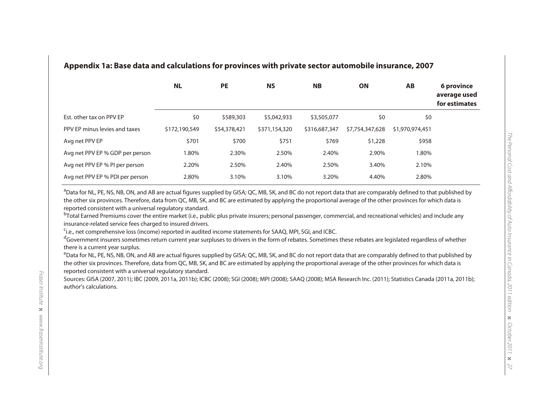#### **tiw secnivorp rof snoitaluclac dna atad esaB :a1 xidneppA <sup>h</sup> private sector automobile insurance, <sup>2007</sup>**

|                                 | <b>NL</b>     | <b>PE</b>    | <b>NS</b>     | <b>NB</b>     | <b>ON</b>       | AB              | 6 province<br>average used<br>for estimates |
|---------------------------------|---------------|--------------|---------------|---------------|-----------------|-----------------|---------------------------------------------|
| Est. other tax on PPV EP        | \$0           | \$589,303    | \$5,042,933   | \$3,505,077   | \$0             | \$0             |                                             |
| PPV EP minus levies and taxes   | \$172,190,549 | \$54,378,421 | \$371,154,320 | \$316,687,347 | \$7,754,347,628 | \$1,970,974,451 |                                             |
| Avg net PPV EP                  | \$701         | \$700        | \$751         | \$769         | \$1,228         | \$958           |                                             |
| Avg net PPV EP % GDP per person | 1.80%         | 2.30%        | 2.50%         | 2.40%         | 2.90%           | 1.80%           |                                             |
| Avg net PPV EP % PI per person  | 2.20%         | 2.50%        | 2.40%         | 2.50%         | 3.40%           | 2.10%           |                                             |
| Avg net PPV EP % PDI per person | 2.80%         | 3.10%        | 3.10%         | 3.20%         | 4.40%           | 2.80%           |                                             |

<sup>a</sup>Data for NL, PE, NS, NB, ON, and AB are actual figures supplied by GISA; QC, MB, SK, and BC do not report data that are comparably defined to that published by the other six provinces. Therefore, data from QC, MB, SK, and BC are estimated by applying the proportional average of the other provinces for which data is reported consistent with a universal regulatory standard.

<sup>b</sup>Total Earned Premiums cover the entire market (i.e., public plus private insurers; personal passenger, commercial, and recreational vehicles) and include any insurance-related service fees charged to insured drivers.

<sup>c</sup>i.e., net comprehensive loss (income) reported in audited income statements for SAAQ, MPI, SGI, and ICBC.

<sup>d</sup>Government insurers sometimes return current year surpluses to drivers in the form of rebates. Sometimes these rebates are legislated regardless of whether there is a current year surplus.

<sup>e</sup>Data for NL, PE, NS, NB, ON, and AB are actual figures supplied by GISA; QC, MB, SK, and BC do not report data that are comparably defined to that published by the other six provinces. Therefore, data from QC, MB, SK, and BC are estimated by applying the proportional average of the other provinces for which data is reported consistent with a universal regulatory standard.

Sources: GISA (2007, 2011); IBC (2009, 2011a, 2011b); ICBC (2008); SGI (2008); MPI (2008); SAAQ (2008); MSA Research Inc. (2011); Statistics Canada (2011a, 2011b); author's calculations.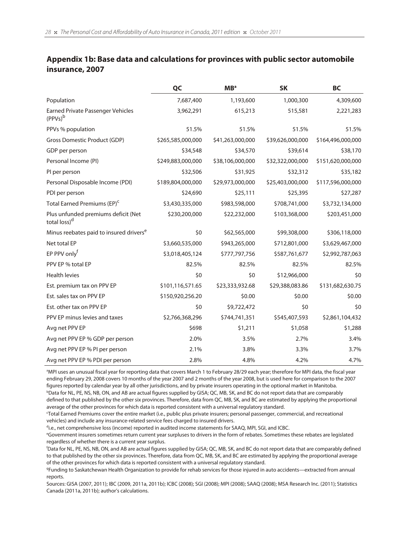|                                                                 | QC                | MB <sup>a</sup>  | <b>SK</b>        | <b>BC</b>         |
|-----------------------------------------------------------------|-------------------|------------------|------------------|-------------------|
| Population                                                      | 7,687,400         | 1,193,600        | 1,000,300        | 4,309,600         |
| <b>Earned Private Passenger Vehicles</b><br>$(PPVs)^b$          | 3,962,291         | 615,213          | 515,581          | 2,221,283         |
| PPVs % population                                               | 51.5%             | 51.5%            | 51.5%            | 51.5%             |
| Gross Domestic Product (GDP)                                    | \$265,585,000,000 | \$41,263,000,000 | \$39,626,000,000 | \$164,496,000,000 |
| GDP per person                                                  | \$34,548          | \$34,570         | \$39,614         | \$38,170          |
| Personal Income (PI)                                            | \$249,883,000,000 | \$38,106,000,000 | \$32,322,000,000 | \$151,620,000,000 |
| PI per person                                                   | \$32,506          | \$31,925         | \$32,312         | \$35,182          |
| Personal Disposable Income (PDI)                                | \$189,804,000,000 | \$29,973,000,000 | \$25,403,000,000 | \$117,596,000,000 |
| PDI per person                                                  | \$24,690          | \$25,111         | \$25,395         | \$27,287          |
| Total Earned Premiums (EP) <sup>C</sup>                         | \$3,430,335,000   | \$983,598,000    | \$708,741,000    | \$3,732,134,000   |
| Plus unfunded premiums deficit (Net<br>total loss) <sup>d</sup> | \$230,200,000     | \$22,232,000     | \$103,368,000    | \$203,451,000     |
| Minus reebates paid to insured drivers <sup>e</sup>             | \$0               | \$62,565,000     | \$99,308,000     | \$306,118,000     |
| Net total EP                                                    | \$3,660,535,000   | \$943,265,000    | \$712,801,000    | \$3,629,467,000   |
| EP PPV only <sup>f</sup>                                        | \$3,018,405,124   | \$777,797,756    | \$587,761,677    | \$2,992,787,063   |
| PPV EP % total EP                                               | 82.5%             | 82.5%            | 82.5%            | 82.5%             |
| <b>Health levies</b>                                            | \$0               | \$0              | \$12,966,000     | \$0               |
| Est. premium tax on PPV EP                                      | \$101,116,571.65  | \$23,333,932.68  | \$29,388,083.86  | \$131,682,630.75  |
| Est. sales tax on PPV EP                                        | \$150,920,256.20  | \$0.00           | \$0.00           | \$0.00            |
| Est. other tax on PPV EP                                        | \$0               | \$9,722,472      | \$0              | \$0               |
| PPV EP minus levies and taxes                                   | \$2,766,368,296   | \$744,741,351    | \$545,407,593    | \$2,861,104,432   |
| Avg net PPV EP                                                  | \$698             | \$1,211          | \$1,058          | \$1,288           |
| Avg net PPV EP % GDP per person                                 | 2.0%              | 3.5%             | 2.7%             | 3.4%              |
| Avg net PPV EP % PI per person                                  | 2.1%              | 3.8%             | 3.3%             | 3.7%              |
| Avg net PPV EP % PDI per person                                 | 2.8%              | 4.8%             | 4.2%             | 4.7%              |

#### **Appendix 1b: Base data and calculations for provinces with public sector automobile insurance, 2007**

aMPI uses an unusual fiscal year for reporting data that covers March 1 to February 28/29 each year; therefore for MPI data, the fiscal year ending February 29, 2008 covers 10 months of the year 2007 and 2 months of the year 2008, but is used here for comparison to the 2007 figures reported by calendar year by all other jurisdictions, and by private insurers operating in the optional market in Manitoba. **bData for NL, PE, NS, NB, ON, and AB are actual figures supplied by GISA; QC, MB, SK, and BC do not report data that are comparably** 

defined to that published by the other six provinces. Therefore, data from QC, MB, SK, and BC are estimated by applying the proportional average of the other provinces for which data is reported consistent with a universal regulatory standard.

<sup>c</sup>Total Earned Premiums cover the entire market (i.e., public plus private insurers; personal passenger, commercial, and recreational vehicles) and include any insurance-related service fees charged to insured drivers.

d i.e., net comprehensive loss (income) reported in audited income statements for SAAQ, MPI, SGI, and ICBC.

<sup>e</sup>Government insurers sometimes return current year surpluses to drivers in the form of rebates. Sometimes these rebates are legislated regardless of whether there is a current year surplus.

<sup>f</sup>Data for NL, PE, NS, NB, ON, and AB are actual figures supplied by GISA; QC, MB, SK, and BC do not report data that are comparably defined to that published by the other six provinces. Therefore, data from QC, MB, SK, and BC are estimated by applying the proportional average of the other provinces for which data is reported consistent with a universal regulatory standard.

<sup>g</sup>Funding to Saskatchewan Health Organization to provide for rehab services for those injured in auto accidents—extracted from annual reports.

Sources: GISA (2007, 2011); IBC (2009, 2011a, 2011b); ICBC (2008); SGI (2008); MPI (2008); SAAQ (2008); MSA Research Inc. (2011); Statistics Canada (2011a, 2011b); author's calculations.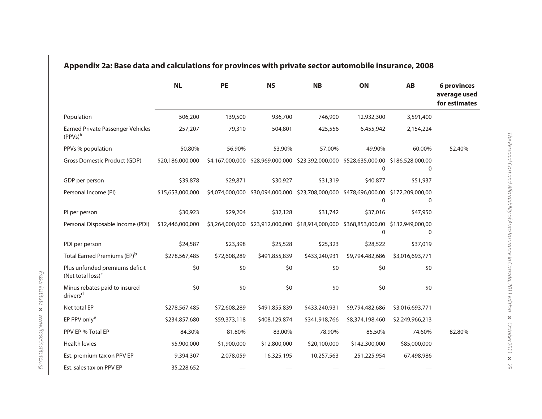#### **tiw secnivorp rof snoitaluclac dna atad esaB :a2 xidneppA <sup>h</sup> private sector automobile insurance, <sup>2008</sup>**

|                                                                 | <b>NL</b>        | <b>PE</b>       | <b>NS</b>                        | <b>NB</b>                                                           | ON                                            | <b>AB</b>                        | 6 provinces<br>average used<br>for estimates |
|-----------------------------------------------------------------|------------------|-----------------|----------------------------------|---------------------------------------------------------------------|-----------------------------------------------|----------------------------------|----------------------------------------------|
| Population                                                      | 506,200          | 139,500         | 936,700                          | 746,900                                                             | 12,932,300                                    | 3,591,400                        |                                              |
| <b>Earned Private Passenger Vehicles</b><br>$(PPVs)^a$          | 257,207          | 79,310          | 504,801                          | 425,556                                                             | 6,455,942                                     | 2,154,224                        |                                              |
| PPVs % population                                               | 50.80%           | 56.90%          | 53.90%                           | 57.00%                                                              | 49.90%                                        | 60.00%                           | 52.40%                                       |
| <b>Gross Domestic Product (GDP)</b>                             | \$20,186,000,000 |                 | \$4,167,000,000 \$28,969,000,000 |                                                                     | \$23,392,000,000 \$528,635,000,00<br>$\Omega$ | \$186,528,000,00<br>0            |                                              |
| GDP per person                                                  | \$39,878         | \$29,871        | \$30,927                         | \$31,319                                                            | \$40,877                                      | \$51,937                         |                                              |
| Personal Income (PI)                                            | \$15,653,000,000 | \$4,074,000,000 |                                  | \$30,094,000,000 \$23,708,000,000 \$478,696,000,00 \$172,209,000,00 | $\mathbf 0$                                   | $\mathbf 0$                      |                                              |
| PI per person                                                   | \$30,923         | \$29,204        | \$32,128                         | \$31,742                                                            | \$37,016                                      | \$47,950                         |                                              |
| Personal Disposable Income (PDI)                                | \$12,446,000,000 | \$3,264,000,000 |                                  | \$23,912,000,000 \$18,914,000,000 \$368,853,000,00                  | $\Omega$                                      | \$132,949,000,00<br>$\mathbf{0}$ |                                              |
| PDI per person                                                  | \$24,587         | \$23,398        | \$25,528                         | \$25,323                                                            | \$28,522                                      | \$37,019                         |                                              |
| Total Earned Premiums (EP) <sup>b</sup>                         | \$278,567,485    | \$72,608,289    | \$491,855,839                    | \$433,240,931                                                       | \$9,794,482,686                               | \$3,016,693,771                  |                                              |
| Plus unfunded premiums deficit<br>(Net total loss) <sup>c</sup> | \$0              | \$0             | \$0                              | \$0                                                                 | \$0                                           | \$0                              |                                              |
| Minus rebates paid to insured<br>drivers <sup>d</sup>           | \$0              | \$0             | \$0                              | \$0                                                                 | \$0                                           | \$0                              |                                              |
| Net total EP                                                    | \$278,567,485    | \$72,608,289    | \$491,855,839                    | \$433,240,931                                                       | \$9,794,482,686                               | \$3,016,693,771                  |                                              |
| EP PPV only <sup>e</sup>                                        | \$234,857,680    | \$59,373,118    | \$408,129,874                    | \$341,918,766                                                       | \$8,374,198,460                               | \$2,249,966,213                  |                                              |
| PPV EP % Total EP                                               | 84.30%           | 81.80%          | 83.00%                           | 78.90%                                                              | 85.50%                                        | 74.60%                           | 82.80%                                       |
| Health levies                                                   | \$5,900,000      | \$1,900,000     | \$12,800,000                     | \$20,100,000                                                        | \$142,300,000                                 | \$85,000,000                     |                                              |
| Est. premium tax on PPV EP                                      | 9,394,307        | 2,078,059       | 16,325,195                       | 10,257,563                                                          | 251,225,954                                   | 67,498,986                       |                                              |
| Est. sales tax on PPV EP                                        | 35,228,652       |                 |                                  |                                                                     |                                               |                                  |                                              |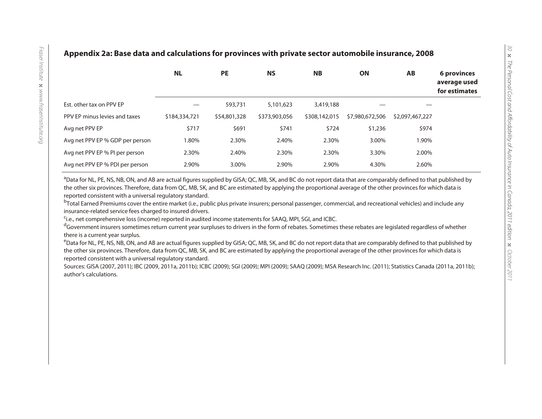#### **na atad esaB :a2 xidneppA <sup>d</sup> calculations for provinces with private sector automobile insurance, <sup>2008</sup>**

|                                 | <b>NL</b>     | <b>PE</b>    | <b>NS</b>     | <b>NB</b>     | <b>ON</b>       | AB              | 6 provinces<br>average used<br>for estimates |
|---------------------------------|---------------|--------------|---------------|---------------|-----------------|-----------------|----------------------------------------------|
| Est. other tax on PPV EP        |               | 593,731      | 5,101,623     | 3,419,188     |                 |                 |                                              |
| PPV EP minus levies and taxes   | \$184,334,721 | \$54,801,328 | \$373,903,056 | \$308,142,015 | \$7,980,672,506 | \$2,097,467,227 |                                              |
| Avg net PPV EP                  | \$717         | \$691        | \$741         | \$724         | \$1,236         | \$974           |                                              |
| Avg net PPV EP % GDP per person | 1.80%         | 2.30%        | 2.40%         | 2.30%         | 3.00%           | 1.90%           |                                              |
| Avg net PPV EP % PI per person  | 2.30%         | 2.40%        | 2.30%         | 2.30%         | 3.30%           | 2.00%           |                                              |
| Avg net PPV EP % PDI per person | 2.90%         | 3.00%        | 2.90%         | 2.90%         | 4.30%           | 2.60%           |                                              |

<sup>a</sup>Data for NL, PE, NS, NB, ON, and AB are actual figures supplied by GISA; QC, MB, SK, and BC do not report data that are comparably defined to that published by the other six provinces. Therefore, data from QC, MB, SK, and BC are estimated by applying the proportional average of the other provinces for which data is reported consistent with a universal regulatory standard.

<sup>b</sup>Total Earned Premiums cover the entire market (i.e., public plus private insurers; personal passenger, commercial, and recreational vehicles) and include any insurance-related service fees charged to insured drivers.

<sup>c</sup>i.e., net comprehensive loss (income) reported in audited income statements for SAAQ, MPI, SGI, and ICBC.

<sup>d</sup>Government insurers sometimes return current year surpluses to drivers in the form of rebates. Sometimes these rebates are legislated regardless of whether there is a current year surplus.

<sup>e</sup>Data for NL, PE, NS, NB, ON, and AB are actual figures supplied by GISA; QC, MB, SK, and BC do not report data that are comparably defined to that published by the other six provinces. Therefore, data from QC, MB, SK, and BC are estimated by applying the proportional average of the other provinces for which data is reported consistent with a universal regulatory standard.

Sources: GISA (2007, 2011); IBC (2009, 2011a, 2011b); ICBC (2009); SGI (2009); MPI (2009); SAAQ (2009); MSA Research Inc. (2011); Statistics Canada (2011a, 2011b); author's calculations.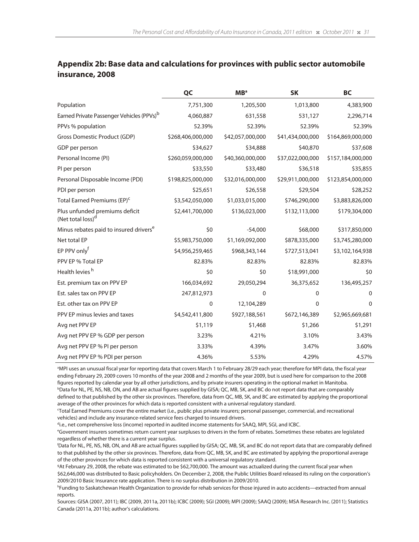#### **Appendix 2b: Base data and calculations for provinces with public sector automobile insurance, 2008**

|                                                                 | QC                | MB <sup>a</sup>  | <b>SK</b>        | <b>BC</b>         |
|-----------------------------------------------------------------|-------------------|------------------|------------------|-------------------|
| Population                                                      | 7,751,300         | 1,205,500        | 1,013,800        | 4,383,900         |
| Earned Private Passenger Vehicles (PPVs) <sup>b</sup>           | 4,060,887         | 631,558          | 531,127          | 2,296,714         |
| PPVs % population                                               | 52.39%            | 52.39%           | 52.39%           | 52.39%            |
| Gross Domestic Product (GDP)                                    | \$268,406,000,000 | \$42,057,000,000 | \$41,434,000,000 | \$164,869,000,000 |
| GDP per person                                                  | \$34,627          | \$34,888         | \$40,870         | \$37,608          |
| Personal Income (PI)                                            | \$260,059,000,000 | \$40,360,000,000 | \$37,022,000,000 | \$157,184,000,000 |
| PI per person                                                   | \$33,550          | \$33,480         | \$36,518         | \$35,855          |
| Personal Disposable Income (PDI)                                | \$198,825,000,000 | \$32,016,000,000 | \$29,911,000,000 | \$123,854,000,000 |
| PDI per person                                                  | \$25,651          | \$26,558         | \$29,504         | \$28,252          |
| Total Earned Premiums (EP) <sup>C</sup>                         | \$3,542,050,000   | \$1,033,015,000  | \$746,290,000    | \$3,883,826,000   |
| Plus unfunded premiums deficit<br>(Net total loss) <sup>d</sup> | \$2,441,700,000   | \$136,023,000    | \$132,113,000    | \$179,304,000     |
| Minus rebates paid to insured drivers <sup>e</sup>              | \$0               | $-54,000$        | \$68,000         | \$317,850,000     |
| Net total EP                                                    | \$5,983,750,000   | \$1,169,092,000  | \$878,335,000    | \$3,745,280,000   |
| EP PPV only <sup>f</sup>                                        | \$4,956,259,465   | \$968,343,144    | \$727,513,041    | \$3,102,164,938   |
| PPV EP % Total EP                                               | 82.83%            | 82.83%           | 82.83%           | 82.83%            |
| Health levies <sup>h</sup>                                      | \$0               | \$0              | \$18,991,000     | \$0               |
| Est. premium tax on PPV EP                                      | 166,034,692       | 29,050,294       | 36,375,652       | 136,495,257       |
| Est. sales tax on PPV EP                                        | 247,812,973       | 0                | 0                | $\Omega$          |
| Est. other tax on PPV EP                                        | 0                 | 12,104,289       | $\mathbf{0}$     | $\mathbf{0}$      |
| PPV EP minus levies and taxes                                   | \$4,542,411,800   | \$927,188,561    | \$672,146,389    | \$2,965,669,681   |
| Avg net PPV EP                                                  | \$1,119           | \$1,468          | \$1,266          | \$1,291           |
| Avg net PPV EP % GDP per person                                 | 3.23%             | 4.21%            | 3.10%            | 3.43%             |
| Avg net PPV EP % PI per person                                  | 3.33%             | 4.39%            | 3.47%            | 3.60%             |
| Avg net PPV EP % PDI per person                                 | 4.36%             | 5.53%            | 4.29%            | 4.57%             |

aMPI uses an unusual fiscal year for reporting data that covers March 1 to February 28/29 each year; therefore for MPI data, the fiscal year ending February 29, 2009 covers 10 months of the year 2008 and 2 months of the year 2009, but is used here for comparison to the 2008 figures reported by calendar year by all other jurisdictions, and by private insurers operating in the optional market in Manitoba. <sup>b</sup>Data for NL, PE, NS, NB, ON, and AB are actual figures supplied by GISA; QC, MB, SK, and BC do not report data that are comparably defined to that published by the other six provinces. Therefore, data from QC, MB, SK, and BC are estimated by applying the proportional average of the other provinces for which data is reported consistent with a universal regulatory standard.

<sup>c</sup>Total Earned Premiums cover the entire market (i.e., public plus private insurers; personal passenger, commercial, and recreational vehicles) and include any insurance-related service fees charged to insured drivers.

<sup>d</sup>i.e., net comprehensive loss (income) reported in audited income statements for SAAQ, MPI, SGI, and ICBC.

<sup>e</sup>Government insurers sometimes return current year surpluses to drivers in the form of rebates. Sometimes these rebates are legislated regardless of whether there is a current year surplus.

<sup>f</sup>Data for NL, PE, NS, NB, ON, and AB are actual figures supplied by GISA; QC, MB, SK, and BC do not report data that are comparably defined to that published by the other six provinces. Therefore, data from QC, MB, SK, and BC are estimated by applying the proportional average of the other provinces for which data is reported consistent with a universal regulatory standard.

<sup>g</sup>At February 29, 2008, the rebate was estimated to be \$62,700,000. The amount was actualized during the current fiscal year when \$62,646,000 was distributed to Basic policyholders. On December 2, 2008, the Public Utilities Board released its ruling on the corporation's 2009/2010 Basic Insurance rate application. There is no surplus distribution in 2009/2010.

<sup>h</sup>Funding to Saskatchewan Health Organization to provide for rehab services for those injured in auto accidents—extracted from annual reports.

Sources: GISA (2007, 2011); IBC (2009, 2011a, 2011b); ICBC (2009); SGI (2009); MPI (2009); SAAQ (2009); MSA Research Inc. (2011); Statistics Canada (2011a, 2011b); author's calculations.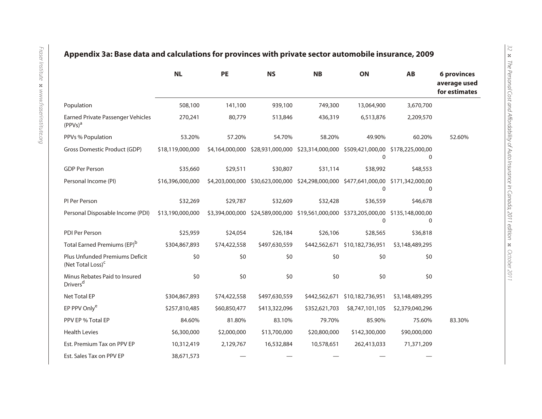|  | Appendix 3a: Base data and calculations for provinces with private sector automobile insurance, 2009 |
|--|------------------------------------------------------------------------------------------------------|
|--|------------------------------------------------------------------------------------------------------|

|                                                                 | <b>NL</b>        | <b>PE</b>    | <b>NS</b>     | <b>NB</b>                                                          | ON                    | <b>AB</b>                    | <b>6 provinces</b><br>average used<br>for estimates |
|-----------------------------------------------------------------|------------------|--------------|---------------|--------------------------------------------------------------------|-----------------------|------------------------------|-----------------------------------------------------|
| Population                                                      | 508,100          | 141,100      | 939,100       | 749,300                                                            | 13,064,900            | 3,670,700                    |                                                     |
| <b>Earned Private Passenger Vehicles</b><br>$(PPVs)^a$          | 270,241          | 80,779       | 513,846       | 436,319                                                            | 6,513,876             | 2,209,570                    |                                                     |
| PPVs % Population                                               | 53.20%           | 57.20%       | 54.70%        | 58.20%                                                             | 49.90%                | 60.20%                       | 52.60%                                              |
| Gross Domestic Product (GDP)                                    | \$18,119,000,000 |              |               | \$4,164,000,000 \$28,931,000,000 \$23,314,000,000                  | \$509,421,000,00<br>0 | \$178,225,000,00<br>0        |                                                     |
| <b>GDP Per Person</b>                                           | \$35,660         | \$29,511     | \$30,807      | \$31,114                                                           | \$38,992              | \$48,553                     |                                                     |
| Personal Income (PI)                                            | \$16,396,000,000 |              |               | \$4,203,000,000 \$30,623,000,000 \$24,298,000,000 \$477,641,000,00 | $\mathbf{0}$          | \$171,342,000,00<br>0        |                                                     |
| PI Per Person                                                   | \$32,269         | \$29,787     | \$32,609      | \$32,428                                                           | \$36,559              | \$46,678                     |                                                     |
| Personal Disposable Income (PDI)                                | \$13,190,000,000 |              |               | \$3,394,000,000 \$24,589,000,000 \$19,561,000,000 \$373,205,000,00 | $\mathbf 0$           | \$135,148,000,00<br>$\Omega$ |                                                     |
| PDI Per Person                                                  | \$25,959         | \$24,054     | \$26,184      | \$26,106                                                           | \$28,565              | \$36,818                     |                                                     |
| Total Earned Premiums (EP) <sup>b</sup>                         | \$304,867,893    | \$74,422,558 | \$497,630,559 | \$442,562,671                                                      | \$10,182,736,951      | \$3,148,489,295              |                                                     |
| Plus Unfunded Premiums Deficit<br>(Net Total Loss) <sup>c</sup> | \$0              | \$0          | \$0           | \$0                                                                | \$0                   | \$0                          |                                                     |
| Minus Rebates Paid to Insured<br>Drivers <sup>d</sup>           | \$0              | \$0          | \$0           | \$0                                                                | \$0                   | \$0                          |                                                     |
| Net Total EP                                                    | \$304,867,893    | \$74,422,558 | \$497,630,559 | \$442,562,671                                                      | \$10,182,736,951      | \$3,148,489,295              |                                                     |
| EP PPV Only <sup>e</sup>                                        | \$257,810,485    | \$60,850,477 | \$413,322,096 | \$352,621,703                                                      | \$8,747,101,105       | \$2,379,040,296              |                                                     |
| PPV EP % Total EP                                               | 84.60%           | 81.80%       | 83.10%        | 79.70%                                                             | 85.90%                | 75.60%                       | 83.30%                                              |
| <b>Health Levies</b>                                            | \$6,300,000      | \$2,000,000  | \$13,700,000  | \$20,800,000                                                       | \$142,300,000         | \$90,000,000                 |                                                     |
| Est. Premium Tax on PPV EP                                      | 10,312,419       | 2,129,767    | 16,532,884    | 10,578,651                                                         | 262,413,033           | 71,371,209                   |                                                     |
| Est. Sales Tax on PPV EP                                        | 38,671,573       |              |               |                                                                    |                       |                              |                                                     |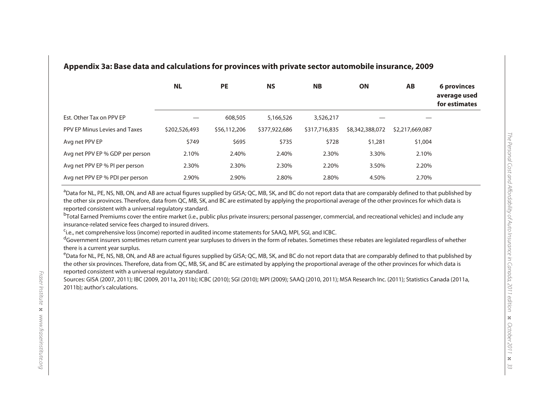#### **tiw secnivorp rof snoitaluclac dna atad esaB :a3 xidneppA <sup>h</sup> private sector automobile insurance, <sup>2009</sup>**

|                                 | <b>NL</b>     | <b>PE</b>    | <b>NS</b>     | <b>NB</b>     | <b>ON</b>       | AB              | 6 provinces<br>average used<br>for estimates |
|---------------------------------|---------------|--------------|---------------|---------------|-----------------|-----------------|----------------------------------------------|
| Est. Other Tax on PPV EP        |               | 608,505      | 5,166,526     | 3,526,217     |                 |                 |                                              |
| PPV EP Minus Levies and Taxes   | \$202,526,493 | \$56,112,206 | \$377,922,686 | \$317,716,835 | \$8,342,388,072 | \$2,217,669,087 |                                              |
| Avg net PPV EP                  | \$749         | \$695        | \$735         | \$728         | \$1,281         | \$1,004         |                                              |
| Avg net PPV EP % GDP per person | 2.10%         | 2.40%        | 2.40%         | 2.30%         | 3.30%           | 2.10%           |                                              |
| Avg net PPV EP % PI per person  | 2.30%         | 2.30%        | 2.30%         | 2.20%         | 3.50%           | 2.20%           |                                              |
| Avg net PPV EP % PDI per person | 2.90%         | 2.90%        | 2.80%         | 2.80%         | 4.50%           | 2.70%           |                                              |

<sup>a</sup>Data for NL, PE, NS, NB, ON, and AB are actual figures supplied by GISA; QC, MB, SK, and BC do not report data that are comparably defined to that published by the other six provinces. Therefore, data from QC, MB, SK, and BC are estimated by applying the proportional average of the other provinces for which data is reported consistent with a universal regulatory standard.

<sup>b</sup>Total Earned Premiums cover the entire market (i.e., public plus private insurers; personal passenger, commercial, and recreational vehicles) and include any insurance-related service fees charged to insured drivers.

<sup>c</sup>i.e., net comprehensive loss (income) reported in audited income statements for SAAQ, MPI, SGI, and ICBC.

<sup>d</sup>Government insurers sometimes return current year surpluses to drivers in the form of rebates. Sometimes these rebates are legislated regardless of whether there is a current year surplus.

<sup>e</sup>Data for NL, PE, NS, NB, ON, and AB are actual figures supplied by GISA; QC, MB, SK, and BC do not report data that are comparably defined to that published by the other six provinces. Therefore, data from QC, MB, SK, and BC are estimated by applying the proportional average of the other provinces for which data is reported consistent with a universal regulatory standard.

Sources: GISA (2007, 2011); IBC (2009, 2011a, 2011b); ICBC (2010); SGI (2010); MPI (2009); SAAQ (2010, 2011); MSA Research Inc. (2011); Statistics Canada (2011a, 2011b); author's calculations.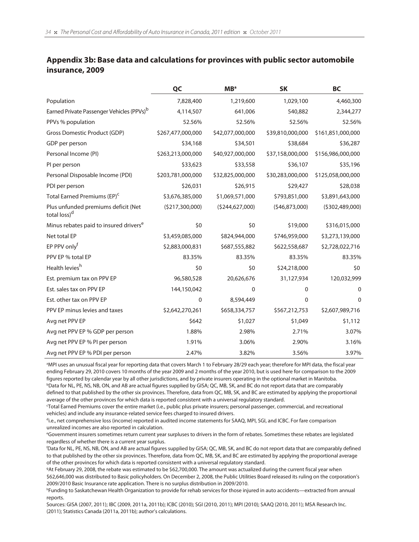|                                                                 | QC                | MB <sup>a</sup>  | <b>SK</b>        | <b>BC</b>         |
|-----------------------------------------------------------------|-------------------|------------------|------------------|-------------------|
| Population                                                      | 7,828,400         | 1,219,600        | 1,029,100        | 4,460,300         |
| Earned Private Passenger Vehicles (PPVs) <sup>b</sup>           | 4,114,507         | 641,006          | 540,882          | 2,344,277         |
| PPVs % population                                               | 52.56%            | 52.56%           | 52.56%           | 52.56%            |
| Gross Domestic Product (GDP)                                    | \$267,477,000,000 | \$42,077,000,000 | \$39,810,000,000 | \$161,851,000,000 |
| GDP per person                                                  | \$34,168          | \$34,501         | \$38,684         | \$36,287          |
| Personal Income (PI)                                            | \$263,213,000,000 | \$40,927,000,000 | \$37,158,000,000 | \$156,986,000,000 |
| PI per person                                                   | \$33,623          | \$33,558         | \$36,107         | \$35,196          |
| Personal Disposable Income (PDI)                                | \$203,781,000,000 | \$32,825,000,000 | \$30,283,000,000 | \$125,058,000,000 |
| PDI per person                                                  | \$26,031          | \$26,915         | \$29,427         | \$28,038          |
| Total Earned Premiums (EP) <sup>c</sup>                         | \$3,676,385,000   | \$1,069,571,000  | \$793,851,000    | \$3,891,643,000   |
| Plus unfunded premiums deficit (Net<br>total loss) <sup>d</sup> | (5217,300,000)    | (5244, 627, 000) | (546, 873, 000)  | (5302, 489, 000)  |
| Minus rebates paid to insured drivers <sup>e</sup>              | \$0               | \$0              | \$19,000         | \$316,015,000     |
| Net total EP                                                    | \$3,459,085,000   | \$824,944,000    | \$746,959,000    | \$3,273,139,000   |
| EP PPV only <sup>f</sup>                                        | \$2,883,000,831   | \$687,555,882    | \$622,558,687    | \$2,728,022,716   |
| PPV EP % total EP                                               | 83.35%            | 83.35%           | 83.35%           | 83.35%            |
| Health leviesh                                                  | \$0               | \$0              | \$24,218,000     | \$0               |
| Est. premium tax on PPV EP                                      | 96,580,528        | 20,626,676       | 31,127,934       | 120,032,999       |
| Est. sales tax on PPV EP                                        | 144,150,042       | 0                | $\Omega$         | $\mathbf{0}$      |
| Est. other tax on PPV EP                                        | 0                 | 8,594,449        | $\mathbf 0$      | $\mathbf{0}$      |
| PPV EP minus levies and taxes                                   | \$2,642,270,261   | \$658,334,757    | \$567,212,753    | \$2,607,989,716   |
| Avg net PPV EP                                                  | \$642             | \$1,027          | \$1,049          | \$1,112           |
| Avg net PPV EP % GDP per person                                 | 1.88%             | 2.98%            | 2.71%            | 3.07%             |
| Avg net PPV EP % PI per person                                  | 1.91%             | 3.06%            | 2.90%            | 3.16%             |
| Avg net PPV EP % PDI per person                                 | 2.47%             | 3.82%            | 3.56%            | 3.97%             |

#### **Appendix 3b: Base data and calculations for provinces with public sector automobile insurance, 2009**

aMPI uses an unusual fiscal year for reporting data that covers March 1 to February 28/29 each year; therefore for MPI data, the fiscal year ending February 29, 2010 covers 10 months of the year 2009 and 2 months of the year 2010, but is used here for comparison to the 2009 figures reported by calendar year by all other jurisdictions, and by private insurers operating in the optional market in Manitoba. **bData for NL, PE, NS, NB, ON, and AB are actual figures supplied by GISA; QC, MB, SK, and BC do not report data that are comparably** defined to that published by the other six provinces. Therefore, data from QC, MB, SK, and BC are estimated by applying the proportional average of the other provinces for which data is reported consistent with a universal regulatory standard.

<sup>c</sup>Total Earned Premiums cover the entire market (i.e., public plus private insurers; personal passenger, commercial, and recreational vehicles) and include any insurance-related service fees charged to insured drivers.

d i.e., net comprehensive loss (income) reported in audited income statements for SAAQ, MPI, SGI, and ICBC. For fare comparison unrealized incomes are also reported in calculation.

<sup>e</sup>Government insurers sometimes return current year surpluses to drivers in the form of rebates. Sometimes these rebates are legislated regardless of whether there is a current year surplus.

<sup>f</sup>Data for NL, PE, NS, NB, ON, and AB are actual figures supplied by GISA; QC, MB, SK, and BC do not report data that are comparably defined to that published by the other six provinces. Therefore, data from QC, MB, SK, and BC are estimated by applying the proportional average of the other provinces for which data is reported consistent with a universal regulatory standard.

9At February 29, 2008, the rebate was estimated to be \$62,700,000. The amount was actualized during the current fiscal year when \$62,646,000 was distributed to Basic policyholders. On December 2, 2008, the Public Utilities Board released its ruling on the corporation's 2009/2010 Basic Insurance rate application. There is no surplus distribution in 2009/2010.

<sup>h</sup>Funding to Saskatchewan Health Organization to provide for rehab services for those injured in auto accidents—extracted from annual reports.

Sources: GISA (2007, 2011); IBC (2009, 2011a, 2011b); ICBC (2010); SGI (2010, 2011); MPI (2010); SAAQ (2010, 2011); MSA Research Inc. (2011); Statistics Canada (2011a, 2011b); author's calculations.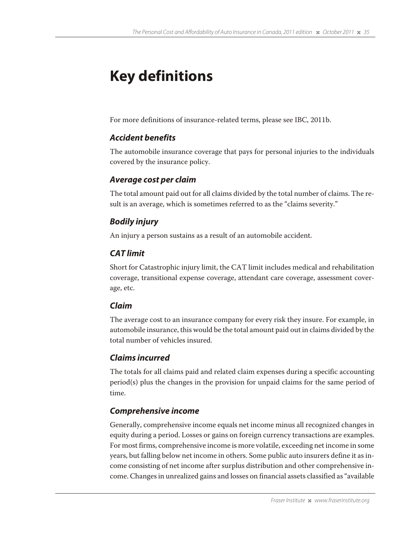# **Key definitions**

For more definitions of insurance-related terms, please see IBC, 2011b.

#### *Acci dent ben e fits*

The automobile insurance coverage that pays for personal injuries to the individuals covered by the insurance policy.

#### *Aver age cost per claim*

The total amount paid out for all claims divided by the total number of claims. The result is an average, which is sometimes referred to as the "claims severity."

#### *Bodily injury*

An injury a person sustains as a result of an automobile accident.

#### *CAT limit*

Short for Catastrophic injury limit, the CAT limit includes medical and rehabilitation coverage, transitional expense coverage, attendant care coverage, assessment coverage, etc.

#### *Claim*

The average cost to an insurance company for every risk they insure. For example, in automobile insurance, this would be the total amount paid out in claims divided by the total number of vehicles insured.

#### *Claims incurred*

The totals for all claims paid and related claim expenses during a specific accounting  $period(s)$  plus the changes in the provision for unpaid claims for the same period of time.

#### *Com pre hen sive income*

Generally, comprehensive income equals net income minus all recognized changes in equity during a period. Losses or gains on foreign currency transactions are examples. For most firms, comprehensive income is more volatile, exceeding net income in some years, but falling below net income in others. Some public auto insurers define it as income consisting of net income after surplus distribution and other comprehensive income. Changes in unrealized gains and losses on financial assets classified as "available"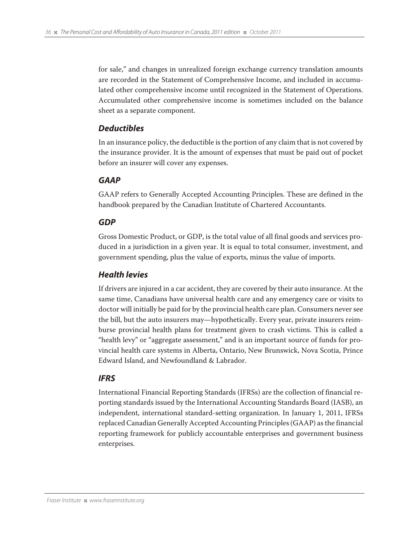for sale," and changes in unrealized for eign exchange currency translation amounts are recorded in the Statement of Comprehensive Income, and included in accumulated other comprehensive income until recognized in the Statement of Operations. Accumulated other comprehensive income is sometimes included on the balance sheet as a separate component.

#### *Deduct ibles*

In an insurance policy, the deductible is the portion of any claim that is not covered by the insurance provider. It is the amount of expenses that must be paid out of pocket before an insurer will cover any expenses.

#### *GAAP*

GAAP refers to Generally Accepted Accounting Principles. These are defined in the handbook prepared by the Canadian Institute of Chartered Accountants.

#### *GDP*

Gross Domestic Product, or GDP, is the total value of all final goods and services produced in a juris diction in a given year. It is equal to total consumer, investment, and government spending, plus the value of exports, minus the value of imports.

#### **Health levies**

If drivers are injured in a car accident, they are covered by their auto insurance. At the same time, Canadians have universal health care and any emergency care or visits to doctor will initially be paid for by the provincial health care plan. Consumers never see the bill, but the auto insurers may—hypothetically. Every year, private insurers reimburse provincial health plans for treatment given to crash victims. This is called a "health levy" or "aggregate assessment," and is an important source of funds for provincial health care systems in Alberta, Ontario, New Brunswick, Nova Scotia, Prince Edward Island, and Newfoundland & Labrador.

#### *IFRS*

International Financial Reporting Standards (IFRSs) are the collection of financial reporting standards issued by the International Accounting Standards Board (IASB), an in dependent, international standard-setting organization. In January 1, 2011, IFRSs replaced Canadian Generally Accepted Accounting Principles (GAAP) as the financial reporting framework for publicly accountable enterprises and government business enterprises.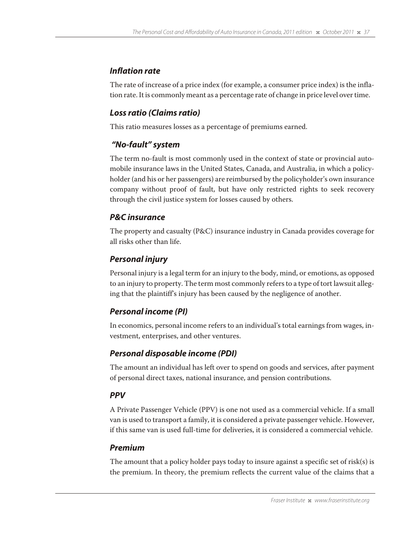#### *Infla tion rate*

The rate of increase of a price index (for example, a consumer price index) is the inflation rate. It is commonly meant as a percentage rate of change in price level over time.

#### *Loss ratio (Claims ratio)*

This ratio measures losses as a percentage of premiums earned.

#### *"No-fault" sys tem*

The term no-fault is most commonly used in the context of state or provincial automobile insurance laws in the United States, Canada, and Australia, in which a policyholder (and his or her passengers) are reimbursed by the policyholder's own insurance company without proof of fault, but have only restricted rights to seek recovery through the civil justice system for losses caused by others.

#### *P&C insurance*

The property and casualty (P&C) insurance industry in Canada provides coverage for all risks other than life.

#### *Per sonal injury*

Personal injury is a legal term for an injury to the body, mind, or emotions, as opposed to an injury to property. The term most commonly refers to a type of tort lawsuit alleging that the plaintiff's injury has been caused by the negligence of another.

#### *Per sonal income (PI)*

In economics, personal income refers to an individual's total earnings from wages, investment, enterprises, and other ventures.

#### *Per sonal dis pos able income (PDI)*

The amount an individual has left over to spend on goods and services, after payment of personal direct taxes, national insurance, and pension contributions.

#### *PPV*

A Private Passenger Vehicle (PPV) is one not used as a commercial vehicle. If a small van is used to transport a family, it is considered a private passenger vehicle. However, if this same van is used full-time for deliveries, it is considered a commercial vehicle.

#### *Pre mium*

The amount that a policy holder pays today to insure against a specific set of risk(s) is the premium. In theory, the premium reflects the current value of the claims that a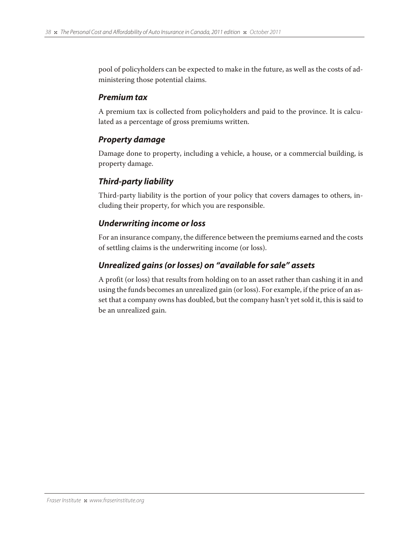pool of policyholders can be expected to make in the future, as well as the costs of administering those potential claims.

#### *Pre mium tax*

A premium tax is collected from policyholders and paid to the province. It is calculated as a percentage of gross premiums written.

#### *Prop erty dam age*

Damage done to property, including a vehicle, a house, or a commercial building, is property damage.

#### **Third-party liability**

Third-party liability is the portion of your policy that covers damages to others, including their property, for which you are responsible.

#### *Under writ ing income or loss*

For an insurance company, the difference between the premiums earned and the costs of settling claims is the underwriting income (or loss).

#### *Unre al ized gains (or losses) on "avail able for sale" assets*

A profit (or loss) that results from holding on to an asset rather than cashing it in and using the funds becomes an unrealized gain (or loss). For example, if the price of an asset that a company owns has doubled, but the company hasn't yet sold it, this is said to be an unrealized gain.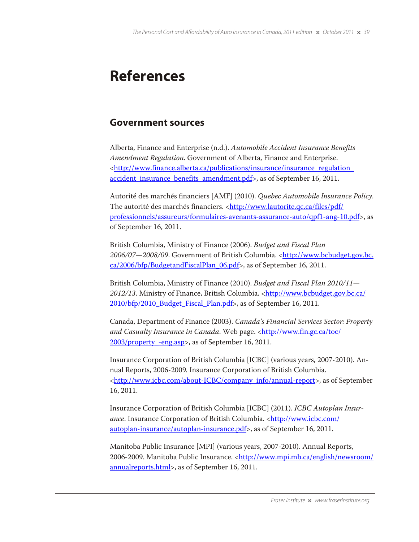### **Ref er ences**

#### **Gov ern ment sources**

Al berta, Fi nance and En ter prise (n.d.). *Au to mo bile Accident Insurance Benefits Amendment Regulation*. Government of Alberta, Finance and Enterprise. [<http://www.finance.alberta.ca/publications/insurance/insurance\\_regulation\\_](http://www.finance.alberta.ca/publications/insurance/insurance_regulation_accident_insurance_benefits_amendment.pdf) accident insurance benefits amendment.pdf>, as of September 16, 2011.

Autorité des marchés financiers [AMF] (2010). *Quebec Automobile Insurance Policy*. The autorité des marchés financiers. [<http://www.lautorite.qc.ca/files/pdf/](http://www.lautorite.qc.ca/files/pdf/professionnels/assureurs/formulaires-avenants-assurance-auto/qpf1-ang-10.pdf) [professionnels/assureurs/formulaires-avenants-assurance-auto/qpf1-ang-10.pdf](http://www.lautorite.qc.ca/files/pdf/professionnels/assureurs/formulaires-avenants-assurance-auto/qpf1-ang-10.pdf)>, as of September 16, 2011.

British Columbia, Ministry of Finance (2006). *Budget and Fiscal Plan* 2006/07-2008/09. Government of British Columbia. [<http://www.bcbudget.gov.bc.](http://www.bcbudget.gov.bc.ca/2006/bfp/BudgetandFiscalPlan_06.pdf) [ca/2006/bfp/BudgetandFiscalPlan\\_06.pdf](http://www.bcbudget.gov.bc.ca/2006/bfp/BudgetandFiscalPlan_06.pdf)>, as of September 16, 2011.

British Columbia, Ministry of Finance (2010). *Budget and Fiscal Plan 2010/11*— 2012/13. Ministry of Finance, British Columbia. [<http://www.bcbudget.gov.bc.ca/](http://www.bcbudget.gov.bc.ca/2010/bfp/2010_Budget_Fiscal_Plan.pdf) [2010/bfp/2010\\_Budget\\_Fiscal\\_Plan.pdf](http://www.bcbudget.gov.bc.ca/2010/bfp/2010_Budget_Fiscal_Plan.pdf)>, as of September 16, 2011.

Can ada, De part ment of Fi nance (2003). *Can ada's Financial Services Sector: Prop erty and Casualty Insurance in Canada*. Web page. [<http://www.fin.gc.ca/toc/](http://www.fin.gc.ca/toc/2003/property_-eng.asp)  $2003/property$  -eng.asp>, as of September 16, 2011.

Insurance Corporation of British Columbia [ICBC] (various years, 2007-2010). Annual Reports, 2006-2009. Insurance Corporation of British Columbia. [<http://www.icbc.com/about-ICBC/company\\_info/annual-report](http://www.icbc.com/about-ICBC/company_info/annual-report)>, as of September 16, 2011.

Insurance Corporation of British Columbia [ICBC] (2011). *ICBC Autoplan Insurance*. Insurance Corporation of British Columbia. [<http://www.icbc.com/](http://www.icbc.com/autoplan-insurance/autoplan-insurance.pdf) [autoplan-insurance/autoplan-insurance.pdf](http://www.icbc.com/autoplan-insurance/autoplan-insurance.pdf)>, as of September 16, 2011.

Manitoba Public Insurance [MPI] (various years, 2007-2010). Annual Reports, 2006-2009. Manitoba Public Insurance. [<http://www.mpi.mb.ca/english/newsroom/](http://www.mpi.mb.ca/english/newsroom/annualreports.html) [annualreports.html](http://www.mpi.mb.ca/english/newsroom/annualreports.html)>, as of September 16, 2011.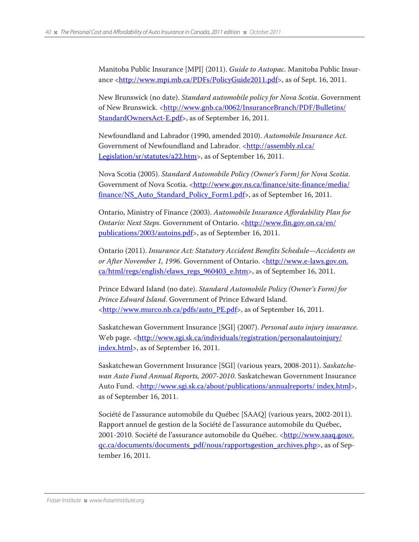Manitoba Public Insurance [MPI] (2011). *Guide to Autopac*. Manitoba Public Insurance [<http://www.mpi.mb.ca/PDFs/PolicyGuide2011.pdf](http://www.mpi.mb.ca/PDFs/PolicyGuide2011.pdf)>, as of Sept. 16, 2011.

New Brunswick (no date). *Standard automobile policy for Nova Scotia*. Government of New Bruns wick. <[http://www.gnb.ca/0062/InsuranceBranch/PDF/Bulletins/](http://www.gnb.ca/0062/InsuranceBranch/PDF/Bulletins/StandardOwnersAct-E.pdf) [StandardOwnersAct-E.pdf](http://www.gnb.ca/0062/InsuranceBranch/PDF/Bulletins/StandardOwnersAct-E.pdf)>, as of September 16, 2011.

Newfoundland and Labrador (1990, amended 2010). Automobile Insurance Act. Government of Newfoundland and Labrador. [<http://assembly.nl.ca/](http://assembly.nl.ca/Legislation/sr/statutes/a22.htm) [Legislation/sr/statutes/a22.htm](http://assembly.nl.ca/Legislation/sr/statutes/a22.htm)>, as of September 16, 2011.

Nova Scotia (2005). *Standard Automobile Policy (Owner's Form) for Nova Scotia*. Government of Nova Scotia. [<http://www.gov.ns.ca/finance/site-finance/media/](http://www.gov.ns.ca/finance/site-finance/media/finance/NS_Auto_Standard_Policy_Form1.pdf) [finance/NS\\_Auto\\_Standard\\_Policy\\_Form1.pdf](http://www.gov.ns.ca/finance/site-finance/media/finance/NS_Auto_Standard_Policy_Form1.pdf)>, as of September 16, 2011.

On tario, Min is try of Fi nance (2003). *Au to mo bile Insurance Affordability Plan for Ontario: Next Steps.* Government of Ontario. [<http://www.fin.gov.on.ca/en/](http://www.fin.gov.on.ca/en/publications/2003/autoins.pdf) [publications/2003/autoins.pdf](http://www.fin.gov.on.ca/en/publications/2003/autoins.pdf)>, as of September 16, 2011.

On tario (2011). *In sur ance Act: Stat u tory Accident Benefits Schedule—Accidents on or After November 1, 1996.* Government of Ontario. [<http://www.e-laws.gov.on.](http://www.e-laws.gov.on.ca/html/regs/english/elaws_regs_960403_e.htm) [ca/html/regs/english/elaws\\_regs\\_960403\\_e.htm](http://www.e-laws.gov.on.ca/html/regs/english/elaws_regs_960403_e.htm)>, as of September 16, 2011.

Prince Edward Island (no date). *Standard Automobile Policy (Owner's Form) for Prince Edward Island*. Government of Prince Edward Island. [<http://www.murco.nb.ca/pdfs/auto\\_PE.pdf](http://www.murco.nb.ca/pdfs/auto_pei.pdf)>, as of Sep tem ber 16, 2011.

Saskatchewan Government Insurance [SGI] (2007). *Personal auto injury insurance*. Web page. [<http://www.sgi.sk.ca/individuals/registration/personalautoinjury/](http://www.sgi.sk.ca/individuals/registration/personalautoinjury/index.html) [index.html](http://www.sgi.sk.ca/individuals/registration/personalautoinjury/index.html)>, as of September 16, 2011.

Saskatchewan Government Insurance [SGI] (various years, 2008-2011). *Saskatche*wan Auto Fund Annual Reports, 2007-2010. Saskatchewan Government Insurance Auto Fund. [<http://www.sgi.sk.ca/about/publications/annualreports/ index.html](http://www.sgi.sk.ca/about/publications/annualreports/index.html)>, as of September 16, 2011.

Société de l'assurance automobile du Québec [SAAQ] (various years, 2002-2011). Rapport annuel de gestion de la Société de l'assurance automobile du Québec, 2001-2010. Société de l'assurance automobile du Québec. [<http://www.saaq.gouv.](http://www.saaq.gouv.qc.ca/documents/documents_pdf/nous/rapportsgestion_archives.php) [qc.ca/documents/documents\\_pdf/nous/rapportsgestion\\_archives.php](http://www.saaq.gouv.qc.ca/documents/documents_pdf/nous/rapportsgestion_archives.php)>, as of Sep tember 16, 2011.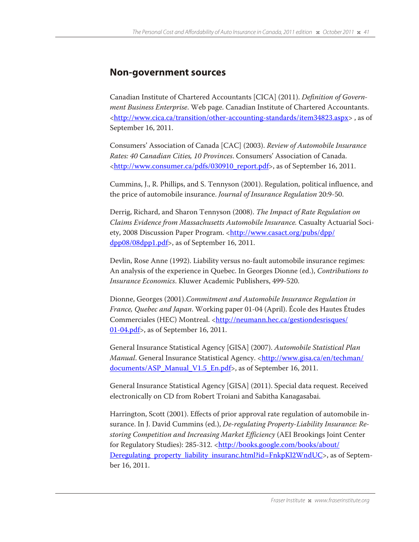#### **Non-gov ern ment sources**

Canadian Institute of Chartered Accountants [CICA] (2011). *Definition of Government Business Enterprise*. Web page. Canadian Institute of Chartered Accountants. [<http://www.cica.ca/transition/other-accounting-standards/item34823.aspx](http://www.cica.ca/transition/other-accounting-standards/item34823.aspx)> , as of September 16, 2011.

Consumers' Association of Canada [CAC] (2003). *Review of Automobile Insurance Rates: 40 Canadian Cities, 10 Provinces. Consumers' Association of Canada.* [<http://www.consumer.ca/pdfs/030910\\_report.pdf](http://www.consumer.ca/pdfs/030910_report.pdf)>, as of September 16, 2011.

Cummins, J., R. Phillips, and S. Tennyson (2001). Regulation, political influence, and the price of automobile insurance. *Journal of Insurance Regulation* 20:9-50.

Derrig, Richard, and Sharon Tennyson (2008). *The Impact of Rate Regulation on Claims Evidence from Massachusetts Automobile Insurance. Casualty Actuarial Soci-*ety, 2008 Discussion Paper Program. [<http://www.casact.org/pubs/dpp/](http://www.casact.org/pubs/dpp/dpp08/08dpp1.pdf)  $\frac{\text{dpp08}}{\text{08dp1.pdf}}$ , as of September 16, 2011.

Devlin, Rose Anne (1992). Liability versus no-fault automobile insurance regimes: An analysis of the experience in Quebec. In Georges Dionne (ed.), *Contributions to Insurance Economics*. Kluwer Academic Publishers, 499-520.

Dionne, Geor ges (2001).*Com mit ment and Au to mo bile In sur ance Reg u la tion in France, Quebec and Japan*. Working paper 01-04 (April). École des Hautes Études Commerciales (HEC) Montreal. [<http://neumann.hec.ca/gestiondesrisques/](http://neumann.hec.ca/gestiondesrisques/01-04.pdf)  $01-04.pdf$ , as of September 16, 2011.

General Insurance Statistical Agency [GISA] (2007). Automobile Statistical Plan *Manual*. General Insurance Statistical Agency. [<http://www.gisa.ca/en/techman/](http://www.gisa.ca/en/techman/documents/ASP_Manual_V1.5_En.pdf) [documents/ASP\\_Manual\\_V1.5\\_En.pdf](http://www.gisa.ca/en/techman/documents/ASP_Manual_V1.5_En.pdf)>, as of September 16, 2011.

General Insurance Statistical Agency [GISA] (2011). Special data request. Received electronically on CD from Robert Troiani and Sabitha Kanagasabai.

Harrington, Scott (2001). Effects of prior approval rate regulation of automobile insurance. In J. David Cummins (ed.), *De-regulating Property-Liability Insurance: Restoring Competition and Increasing Market Efficiency* (AEI Brookings Joint Center for Regulatory Studies): 285-312. [<http://books.google.com/books/about/](http://books.google.com/books/about/Deregulating_property_liability_insuranc.html?id=FnkpKl2WndUC) Deregulating property liability insuranc.html?id=FnkpKl2WndUC>, as of September 16, 2011.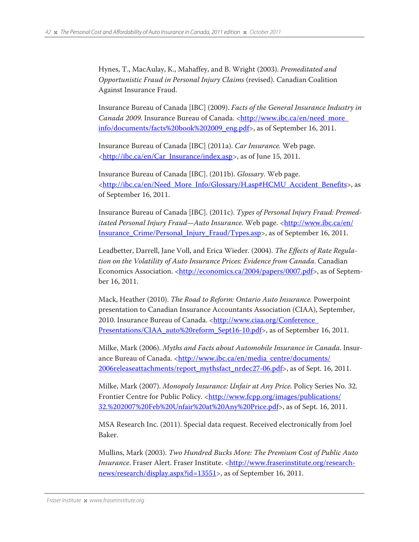Hynes, T., MacAulay, K., Mahaffey, and B. Wright (2003). *Premeditated and Opportunistic Fraud in Personal Injury Claims* (revised). Canadian Coalition Against Insurance Fraud.

In surance Bureau of Canada [IBC] (2009). *Facts of the General Insurance Industry in Canada 2009.* Insurance Bureau of Canada. <http://www.ibc.ca/en/need\_more [info/documents/facts%20book%202009\\_eng.pdf](http://www.ibc.ca/en/need_more_info/documents/facts%20book%202009_eng.pdf)>, as of September 16, 2011.

Insurance Bureau of Canada [IBC] (2011a). *Car Insurance*. Web page. [<http://ibc.ca/en/Car\\_Insurance/index.asp](http://ibc.ca/en/Car_Insurance/index.asp)*>*, as of June 15, 2011.

In sur ance Bu reau of Can ada [IBC]. (2011b). *Glos sary*. Web page. [<http://ibc.ca/en/Need\\_More\\_Info/Glossary/H.asp#HCMU\\_Accident\\_Benefits](http://ibc.ca/en/Need_More_Info/Glossary/H.asp)>, as of September 16, 2011.

In surance Bureau of Canada [IBC]. (2011c). *Types of Personal Injury Fraud: Premedi tated Personal Injury Fraud—Auto Insurance*. Web page. [<http://www.ibc.ca/en/](http://www.ibc.ca/en/Insurance_Crime/Personal_Injury_Fraud/Types.asp) [Insurance\\_Crime/Personal\\_Injury\\_Fraud/Types.asp](http://www.ibc.ca/en/Insurance_Crime/Personal_Injury_Fraud/Types.asp)>, as of September 16, 2011.

Leadbetter, Darrell, Jane Voll, and Erica Wieder. (2004). *The Effects of Rate Regulation on the Volatility of Auto Insurance Prices: Evidence from Canada. Canadian* Economics Association. [<http://economics.ca/2004/papers/0007.pdf](http://economics.ca/2004/papers/0007.pdf)>, as of September 16, 2011.

Mack, Heather (2010). *The Road to Re form: On tario Auto In sur ance.* Powerpoint presentation to Canadian Insurance Accountants Association (CIAA), September, 2010. Insurance Bureau of Canada. [<http://www.ciaa.org/Conference\\_](http://www.ciaa.org/Conference_Presentations/CIAA_auto%20reform_Sept16-10.pdf) [Presentations/CIAA\\_auto%20reform\\_Sept16-10.pdf](http://www.ciaa.org/Conference_Presentations/CIAA_auto%20reform_Sept16-10.pdf)>, as of September 16, 2011.

Milke, Mark (2006). *Myths and Facts about Au to mo bile In sur ance in Can ada*. In sur - ance Bureau of Canada. [<http://www.ibc.ca/en/media\\_centre/documents/](http://www.ibc.ca/en/media_centre/documents/2006releaseattachments/report_mythsfact_nrdec27-06.pdf) [2006releaseattachments/report\\_mythsfact\\_nrdec27-06.pdf](http://www.ibc.ca/en/media_centre/documents/2006releaseattachments/report_mythsfact_nrdec27-06.pdf)>, as of Sept. 16, 2011.

Milke, Mark (2007). *Monopoly Insurance: Unfair at Any Price.* Policy Series No. 32. Frontier Centre for Public Policy. [<http://www.fcpp.org/images/publications/](http://www.fcpp.org/images/publications/32.%202007%20Feb%20Unfair%20at%20Any%20Price.pdf) [32.%202007%20Feb%20Unfair%20at%20Any%20Price.pdf](http://www.fcpp.org/images/publications/32.%202007%20Feb%20Unfair%20at%20Any%20Price.pdf)>, as of Sept. 16, 2011.

MSA Research Inc. (2011). Special data request. Received electronically from Joel Baker.

Mullins, Mark (2003). *Two Hundred Bucks More: The Premium Cost of Public Auto Insurance*. Fraser Alert. Fraser Institute. [<http://www.fraserinstitute.org/research](http://www.fraserinstitute.org/research-news/research/display.aspx?id=13551)[news/research/display.aspx?id=13551](http://www.fraserinstitute.org/research-news/research/display.aspx?id=13551)>, as of September 16, 2011.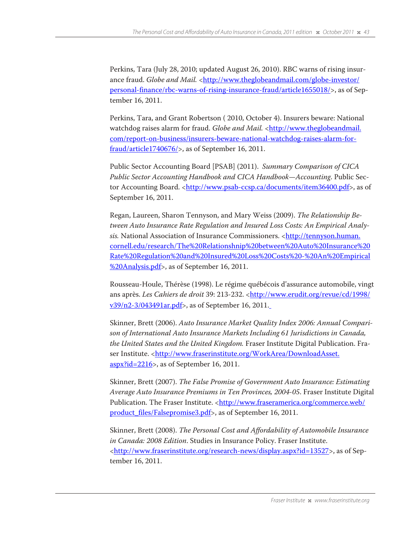Perkins, Tara (July 28, 2010; updated August 26, 2010). RBC warns of rising insurance fraud. *Globe and Mail.* [<http://www.theglobeandmail.com/globe-investor/](http://www.theglobeandmail.com/globe-investor/personal-finance/rbc-warns-of-rising-insurance-fraud/article1655018/) [personal-finance/rbc-warns-of-rising-insurance-fraud/article1655018/](http://www.theglobeandmail.com/globe-investor/personal-finance/rbc-warns-of-rising-insurance-fraud/article1655018/)>, as of September 16, 2011.

Perkins, Tara, and Grant Robertson (2010, October 4). Insurers beware: National watchdog raises alarm for fraud. *Globe and Mail.* [<http://www.theglobeandmail.](http://www.theglobeandmail.com/report-on-business/insurers-beware-national-watchdog-raises-alarm-for-fraud/article1740676/) [com/report-on-business/insurers-beware-national-watchdog-raises-alarm-for](http://www.theglobeandmail.com/report-on-business/insurers-beware-national-watchdog-raises-alarm-for-fraud/article1740676/) $frac/2$ raud/article1740676/ $>$ , as of September 16, 2011.

Public Sector Accounting Board [PSAB] (2011). *Summary Comparison of CICA Public Sector Accounting Handbook and CICA Handbook—Accounting. Public Sec-*tor Accounting Board. [<http://www.psab-ccsp.ca/documents/item36400.pdf](http://www.psab-ccsp.ca/documents/item36400.pdf)>, as of September 16, 2011.

Regan, Laureen, Sharon Tennyson, and Mary Weiss (2009). *The Relationship Between Auto Insurance Rate Regulation and Insured Loss Costs: An Empirical Analysis.* National Association of Insurance Commissioners. [<http://tennyson.human.](http://tennyson.human.cornell.edu/research/The%20Relationshnip%20between%20Auto%20Insurance%20Rate%20Regulation%20and%20Insured%20Loss%20Costs%20-%20An%20Empirical%20Analysis.pdf) [cornell.edu/research/The%20Relationshnip%20between%20Auto%20Insurance%20](http://tennyson.human.cornell.edu/research/The%20Relationshnip%20between%20Auto%20Insurance%20Rate%20Regulation%20and%20Insured%20Loss%20Costs%20-%20An%20Empirical%20Analysis.pdf) [Rate%20Regulation%20and%20Insured%20Loss%20Costs%20-%20An%20Empirical](http://tennyson.human.cornell.edu/research/The%20Relationshnip%20between%20Auto%20Insurance%20Rate%20Regulation%20and%20Insured%20Loss%20Costs%20-%20An%20Empirical%20Analysis.pdf) [%20Analysis.pdf](http://tennyson.human.cornell.edu/research/The%20Relationshnip%20between%20Auto%20Insurance%20Rate%20Regulation%20and%20Insured%20Loss%20Costs%20-%20An%20Empirical%20Analysis.pdf)>, as of September 16, 2011.

Rousseau-Houle, Thérèse (1998). Le régime québécois d'assurance automobile, vingt ans après. *Les Ca hiers de droit* 39: 213-232. [<http://www.erudit.org/revue/cd/1998/](http://www.erudit.org/revue/cd/1998/v39/n2-3/043491ar.pdf) [v39/n2-3/043491ar.pdf](http://www.erudit.org/revue/cd/1998/v39/n2-3/043491ar.pdf)>, as of September 16, 2011.

Skinner, Brett (2006). Auto Insurance Market Quality Index 2006: Annual Comparison of International Auto Insurance Markets Including 61 Jurisdictions in Canada, *the United States and the United Kingdom.* Fraser Institute Digital Publication. Fra-ser Institute. [<http://www.fraserinstitute.org/WorkArea/DownloadAsset.](http://www.fraserinstitute.org/WorkArea/DownloadAsset.aspx?id=2216)  $a$ spx?id=2216>, as of September 16, 2011.

Skinner, Brett (2007). *The False Promise of Government Auto Insurance: Estimating* Average Auto Insurance Premiums in Ten Provinces, 2004-05. Fraser Institute Digital Publication. The Fraser Institute. [<http://www.fraseramerica.org/commerce.web/](http://www.fraseramerica.org/commerce.web/product_files/Falsepromise3.pdf) product files/Falsepromise3.pdf>, as of September 16, 2011.

Skinner, Brett (2008). *The Personal Cost and Affordability of Automobile Insurance* in Canada: 2008 Edition. Studies in Insurance Policy. Fraser Institute. [<http://www.fraserinstitute.org/research-news/display.aspx?id=13527](http://www.fraserinstitute.org/research-news/display.aspx?id=13527)>, as of September 16, 2011.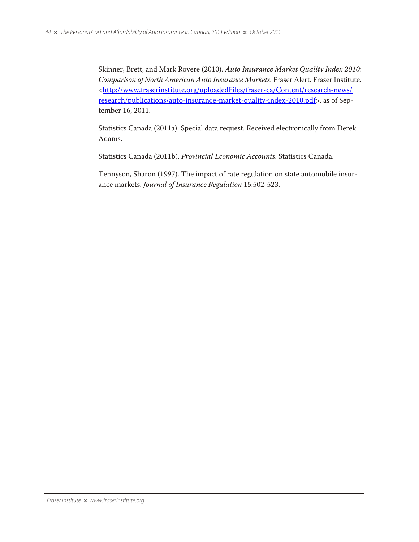Skinner, Brett, and Mark Rovere (2010). Auto Insurance Market Quality Index 2010: *Comparison of North American Auto Insurance Markets*. Fraser Alert. Fraser Institute. [<http://www.fraserinstitute.org/uploadedFiles/fraser-ca/Content/research-news/](http://www.fraserinstitute.org/uploadedFiles/fraser-ca/Content/research-news/research/publications/auto-insurance-market-quality-index-2010.pdf) [research/publications/auto-insurance-market-quality-index-2010.pdf](http://www.fraserinstitute.org/uploadedFiles/fraser-ca/Content/research-news/research/publications/auto-insurance-market-quality-index-2010.pdf)>, as of September 16, 2011.

Statistics Canada (2011a). Special data request. Received electronically from Derek Adams.

Statistics Canada (2011b). *Provincial Economic Accounts*. Statistics Canada.

Tennyson, Sharon (1997). The impact of rate regulation on state automobile insurance markets. *Journal of Insurance Regulation* 15:502-523.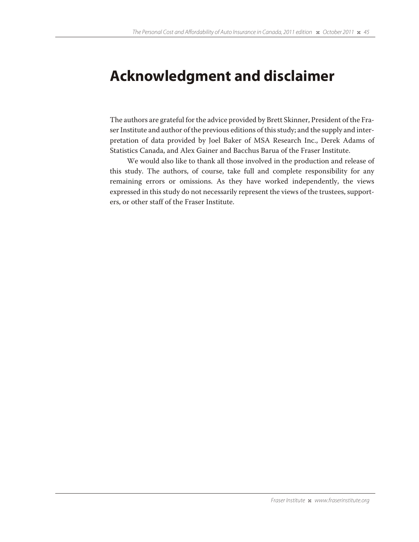# **Acknowl edg ment and dis claimer**

The authors are grateful for the advice provided by Brett Skinner, President of the Fraser Institute and author of the previous editions of this study; and the supply and interpretation of data provided by Joel Baker of MSA Research Inc., Derek Adams of Statistics Canada, and Alex Gainer and Bacchus Barua of the Fraser Institute.

We would also like to thank all those involved in the production and release of this study. The authors, of course, take full and complete responsibility for any remaining errors or omissions. As they have worked independently, the views expressed in this study do not necessarily represent the views of the trustees, supporters, or other staff of the Fraser Institute.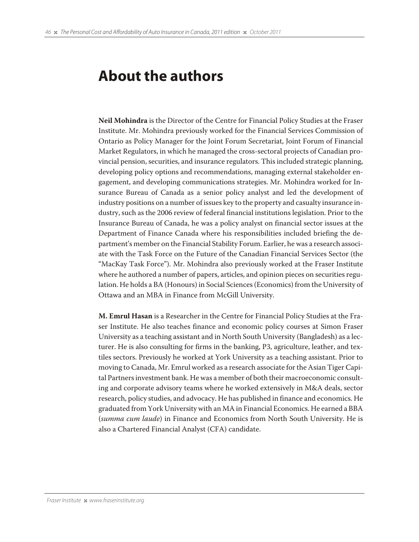### **About the authors**

**Neil Mohindra** is the Director of the Centre for Financial Policy Studies at the Fraser Institute. Mr. Mohindra previously worked for the Financial Services Commission of Ontario as Policy Manager for the Joint Forum Secretariat, Joint Forum of Financial Market Regulators, in which he managed the cross-sectoral projects of Canadian provincial pension, securities, and insurance regulators. This included strategic planning, developing policy options and recommendations, managing external stakeholder engagement, and developing communications strategies. Mr. Mohindra worked for Insurance Bureau of Canada as a senior policy analyst and led the development of industry positions on a number of issues key to the property and casualty insurance industry, such as the 2006 review of federal financial institutions legislation. Prior to the Insurance Bureau of Canada, he was a policy analyst on financial sector issues at the Department of Finance Canada where his responsibilities included briefing the department's member on the Financial Stability Forum. Earlier, he was a research associate with the Task Force on the Future of the Canadian Financial Services Sector (the "MacKay Task Force"). Mr. Mohindra also previously worked at the Fraser Institute where he authored a number of papers, articles, and opinion pieces on securities regulation. He holds a BA (Honours) in Social Sciences (Economics) from the University of Ottawa and an MBA in Finance from McGill University.

**M. Emrul Hasan** is a Researcher in the Centre for Financial Policy Studies at the Fraser Institute. He also teaches finance and economic policy courses at Simon Fraser University as a teaching assistant and in North South University (Bangladesh) as a lecturer. He is also consulting for firms in the banking, P3, agriculture, leather, and textiles sectors. Previously he worked at York University as a teaching assistant. Prior to moving to Canada, Mr. Emrul worked as a research associate for the Asian Tiger Capital Partners investment bank. He was a member of both their macroeconomic consulting and corporate advisory teams where he worked extensively in M&A deals, sector research, policy studies, and advocacy. He has published in finance and economics. He graduated from York University with an MA in Financial Economics. He earned a BBA (*summa cum laude*) in Finance and Economics from North South University. He is also a Chartered Financial Analyst (CFA) candidate.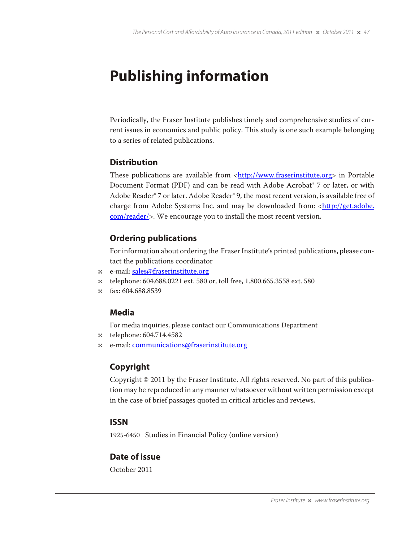# **Publishing information**

Periodically, the Fraser Institute publishes timely and comprehensive studies of current issues in economics and public policy. This study is one such example belonging to a series of related publications.

#### **Distribution**

These publications are available from  $\frac{\text{http://www.fraserinstitute.org>}}{\text{http://www.fraserinstitute.org>}}$  in Portable Document Format (PDF) and can be read with Adobe Acrobat® 7 or later, or with Adobe Reader® 7 or later. Adobe Reader® 9, the most recent version, is available free of charge from Adobe Systems Inc. and may be downloaded from: [<http://get.adobe.](http://get.adobe.com/reader/) [com/reader/](http://get.adobe.com/reader/)>. We encourage you to install the most recent version.

#### **Ordering publications**

For information about ordering the Fraser Institute's printed publications, please contact the publications coordinator

- 4 e-mail: [sales@fraserinstitute.org](mailto:sales@fraserinstitute.org)
- $\text{\textddot{x}}$  telephone: 604.688.0221 ext. 580 or, toll free, 1.800.665.3558 ext. 580
- \* fax: 604.688.8539

#### **Media**

For media inquiries, please contact our Communications Department

- \* telephone: 604.714.4582
- 4 e-mail: [communications@fraserinstitute.org](mailto:communications@fraserinstitute.org)

#### **Copy right**

Copyright  $\odot$  2011 by the Fraser Institute. All rights reserved. No part of this publication may be reproduced in any manner what so ever with out written permission except in the case of brief passages quoted in critical articles and reviews.

#### **ISSN**

1925-6450 Studies in Financial Policy (online version)

#### **Date of issue**

October 2011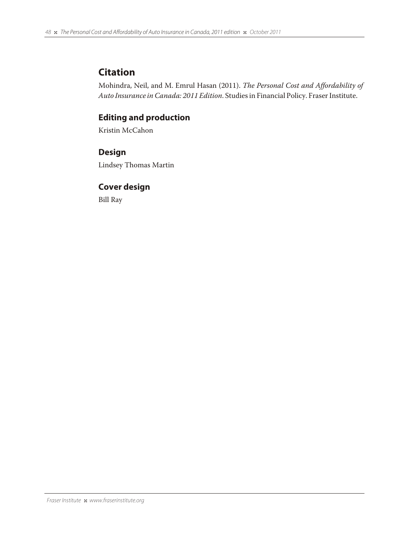#### **Cita tion**

Mohindra, Neil, and M. Emrul Hasan (2011). *The Per sonal Cost and Affordability of* Auto Insurance in Canada: 2011 Edition. Studies in Financial Policy. Fraser Institute.

#### **Editing and production**

Kristin McCahon

#### **Design**

Lindsey Thomas Martin

#### **Cover design**

Bill Ray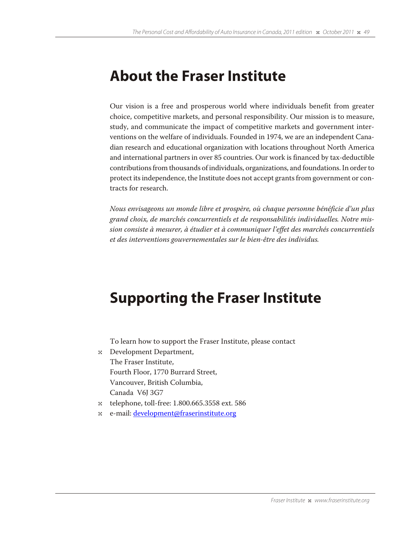# **About the Fraser Institute**

Our vision is a free and prosperous world where individuals benefit from greater choice, competitive markets, and personal responsibility. Our mission is to measure, study, and communicate the impact of competitive markets and government interventions on the welfare of individuals. Founded in 1974, we are an independent Canadian research and educational organization with locations throughout North America and international partners in over 85 countries. Our work is financed by tax-deductible con tributions from thousands of individuals, organizations, and foundations. In order to protect its independence, the Institute does not accept grants from government or contracts for research.

*Nous envisageons un monde li bre et prospère, où chaque personne bénéficie d'un plus grand choix, de marchés concurrentiels et de responsabilités individuelles. No tre mis sion consiste à mesurer, à étudier et à communiquer l'effet des marchés concurrentiels et des in ter ven tions gouvernementales sur le bien-être des individus.*

# **Supporting the Fraser Institute**

To learn how to support the Fraser Institute, please contact

- $\mathbf x$  Development Department, The Fraser Institute, Fourth Floor, 1770 Burrard Street, Vancouver, British Columbia, Canada V6J 3G7
- 4 tele phone, toll-free: 1.800.665.3558 ext. 586
- 4 e-mail: [development@fraserinstitute.org](mailto:development@fraserinstitute.org)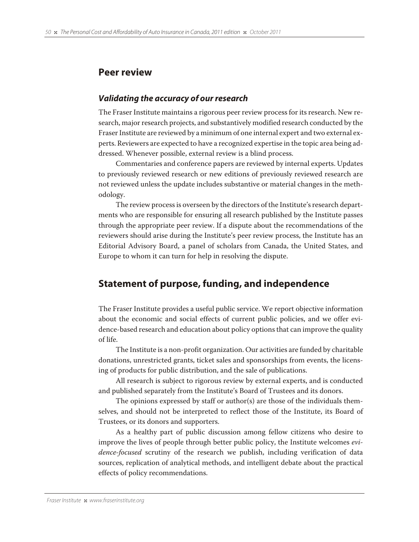#### **Peer review**

#### *Val i dat ing the accu racy of our research*

The Fraser Institute maintains a rigorous peer review process for its research. New research, major research projects, and substantively modified research conducted by the Fra ser Institute are reviewed by a minimum of one internal expert and two external experts. Reviewers are expected to have a recognized expertise in the topic area being addressed. Whenever possible, external review is a blind process.

Commentaries and conference papers are reviewed by internal experts. Updates to previously reviewed research or new editions of previously reviewed research are not reviewed unless the update includes substantive or material changes in the methodology.

The review process is overseen by the directors of the Institute's research departments who are responsible for ensuring all research published by the Institute passes through the appropriate peer review. If a dispute about the recommendations of the reviewers should arise during the Institute's peer review process, the Institute has an Editorial Advisory Board, a panel of scholars from Canada, the United States, and Europe to whom it can turn for help in resolving the dispute.

#### **Statement of purpose, funding, and independence**

The Fraser Institute provides a useful public service. We report objective information about the economic and social effects of current public policies, and we offer evidence-based research and education about policy options that can improve the quality of life.

The Institute is a non-profit organization. Our activities are funded by charitable donations, unrestricted grants, ticket sales and sponsorships from events, the licensing of products for public distribution, and the sale of publications.

All research is subject to rigorous review by external experts, and is conducted and published separately from the Institute's Board of Trustees and its donors.

The opinions expressed by staff or author(s) are those of the individuals themselves, and should not be interpreted to reflect those of the Institute, its Board of Trustees, or its donors and supporters.

As a healthy part of public discussion among fellow citizens who desire to improve the lives of people through better public policy, the Institute welcomes *evidence-focused* scrutiny of the research we publish, including verification of data sources, replication of analytical methods, and intelligent debate about the practical effects of policy recommendations.